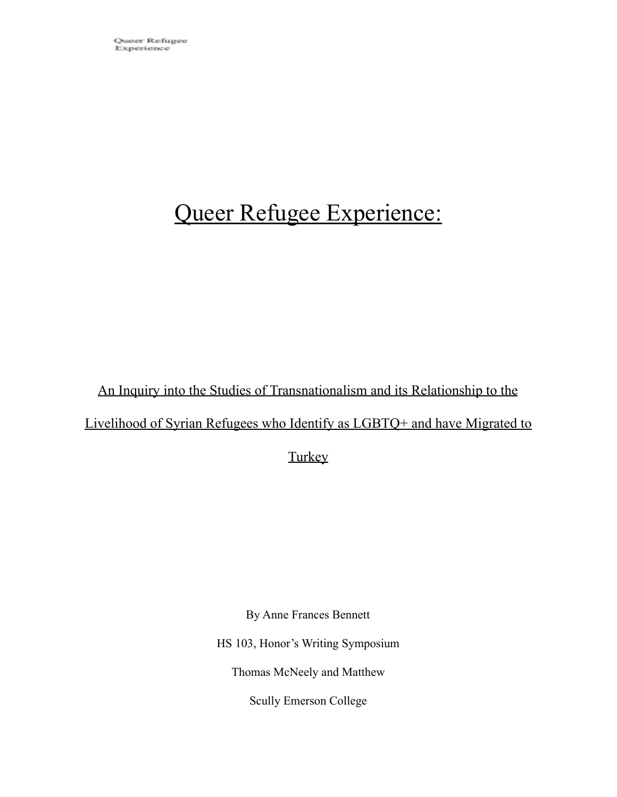# Queer Refugee Experience:

An Inquiry into the Studies of Transnationalism and its Relationship to the Livelihood of Syrian Refugees who Identify as LGBTQ+ and have Migrated to

**Turkey** 

By Anne Frances Bennett

HS 103, Honor's Writing Symposium

Thomas McNeely and Matthew

Scully Emerson College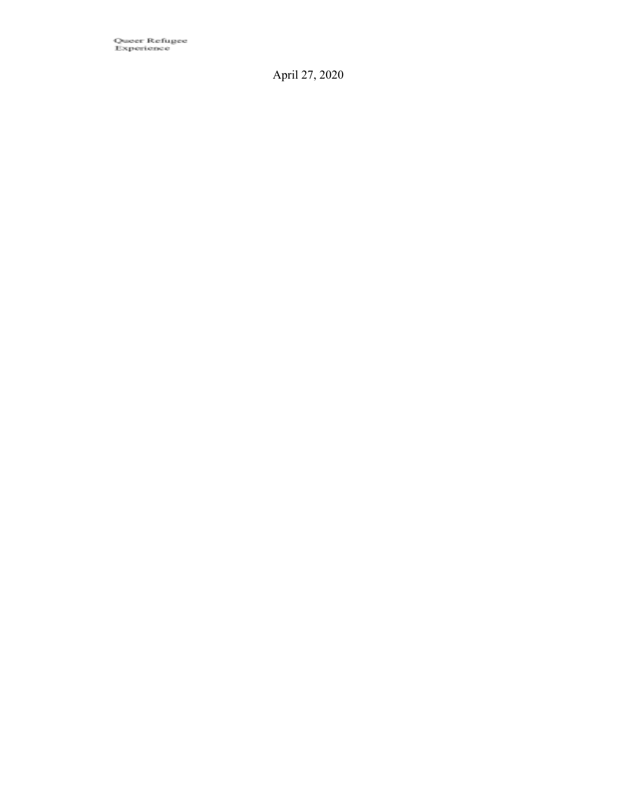Queer Refugee<br>Experience

April 27, 2020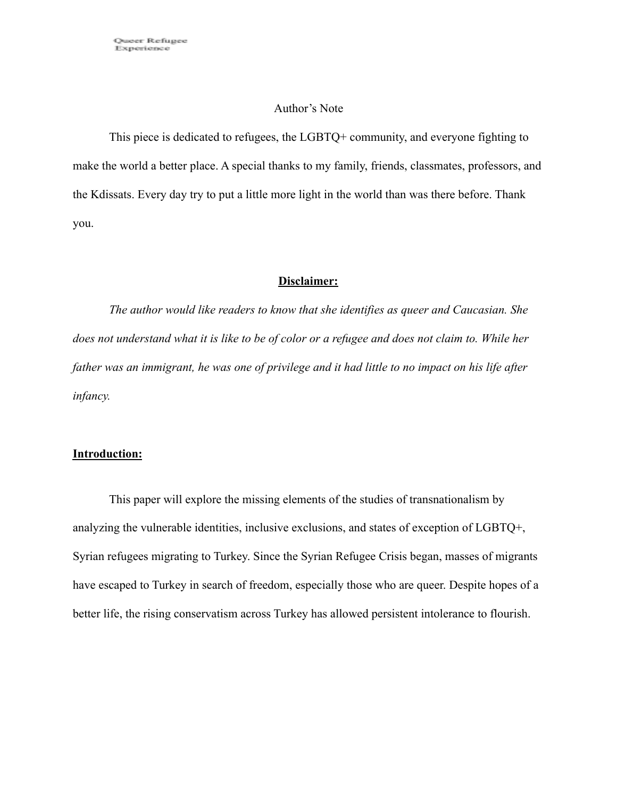## Author's Note

This piece is dedicated to refugees, the LGBTQ+ community, and everyone fighting to make the world a better place. A special thanks to my family, friends, classmates, professors, and the Kdissats. Every day try to put a little more light in the world than was there before. Thank you.

## **Disclaimer:**

*The author would like readers to know that she identifies as queer and Caucasian. She does not understand what it is like to be of color or a refugee and does not claim to. While her father was an immigrant, he was one of privilege and it had little to no impact on his life after infancy.*

## **Introduction:**

This paper will explore the missing elements of the studies of transnationalism by analyzing the vulnerable identities, inclusive exclusions, and states of exception of LGBTQ+, Syrian refugees migrating to Turkey. Since the Syrian Refugee Crisis began, masses of migrants have escaped to Turkey in search of freedom, especially those who are queer. Despite hopes of a better life, the rising conservatism across Turkey has allowed persistent intolerance to flourish.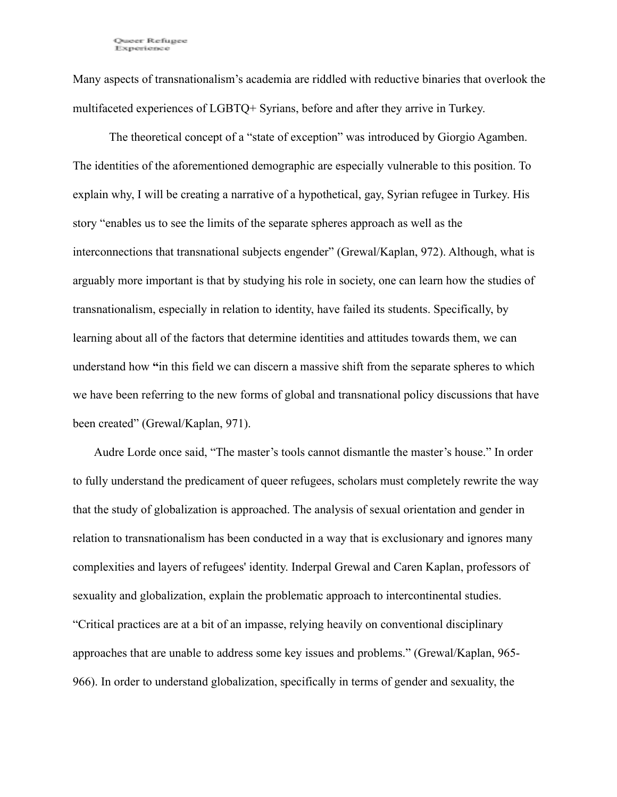Many aspects of transnationalism's academia are riddled with reductive binaries that overlook the multifaceted experiences of LGBTQ+ Syrians, before and after they arrive in Turkey.

The theoretical concept of a "state of exception" was introduced by Giorgio Agamben. The identities of the aforementioned demographic are especially vulnerable to this position. To explain why, I will be creating a narrative of a hypothetical, gay, Syrian refugee in Turkey. His story "enables us to see the limits of the separate spheres approach as well as the interconnections that transnational subjects engender" (Grewal/Kaplan, 972). Although, what is arguably more important is that by studying his role in society, one can learn how the studies of transnationalism, especially in relation to identity, have failed its students. Specifically, by learning about all of the factors that determine identities and attitudes towards them, we can understand how **"**in this field we can discern a massive shift from the separate spheres to which we have been referring to the new forms of global and transnational policy discussions that have been created" (Grewal/Kaplan, 971).

Audre Lorde once said, "The master's tools cannot dismantle the master's house." In order to fully understand the predicament of queer refugees, scholars must completely rewrite the way that the study of globalization is approached. The analysis of sexual orientation and gender in relation to transnationalism has been conducted in a way that is exclusionary and ignores many complexities and layers of refugees' identity. Inderpal Grewal and Caren Kaplan, professors of sexuality and globalization, explain the problematic approach to intercontinental studies. "Critical practices are at a bit of an impasse, relying heavily on conventional disciplinary approaches that are unable to address some key issues and problems." (Grewal/Kaplan, 965- 966). In order to understand globalization, specifically in terms of gender and sexuality, the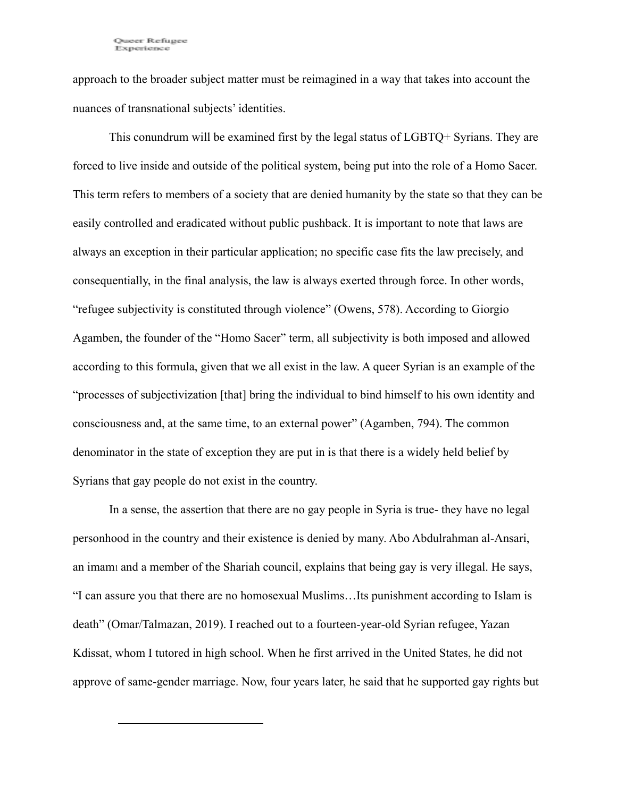approach to the broader subject matter must be reimagined in a way that takes into account the nuances of transnational subjects' identities.

This conundrum will be examined first by the legal status of LGBTQ+ Syrians. They are forced to live inside and outside of the political system, being put into the role of a Homo Sacer. This term refers to members of a society that are denied humanity by the state so that they can be easily controlled and eradicated without public pushback. It is important to note that laws are always an exception in their particular application; no specific case fits the law precisely, and consequentially, in the final analysis, the law is always exerted through force. In other words, "refugee subjectivity is constituted through violence" (Owens, 578). According to Giorgio Agamben, the founder of the "Homo Sacer" term, all subjectivity is both imposed and allowed according to this formula, given that we all exist in the law. A queer Syrian is an example of the "processes of subjectivization [that] bring the individual to bind himself to his own identity and consciousness and, at the same time, to an external power" (Agamben, 794). The common denominator in the state of exception they are put in is that there is a widely held belief by Syrians that gay people do not exist in the country.

In a sense, the assertion that there are no gay people in Syria is true- they have no legal personhood in the country and their existence is denied by many. Abo Abdulrahman al-Ansari, an imam<sup>1</sup> and a member of the Shariah council, explains that being gay is very illegal. He says, "I can assure you that there are no homosexual Muslims…Its punishment according to Islam is death" (Omar/Talmazan, 2019). I reached out to a fourteen-year-old Syrian refugee, Yazan Kdissat, whom I tutored in high school. When he first arrived in the United States, he did not approve of same-gender marriage. Now, four years later, he said that he supported gay rights but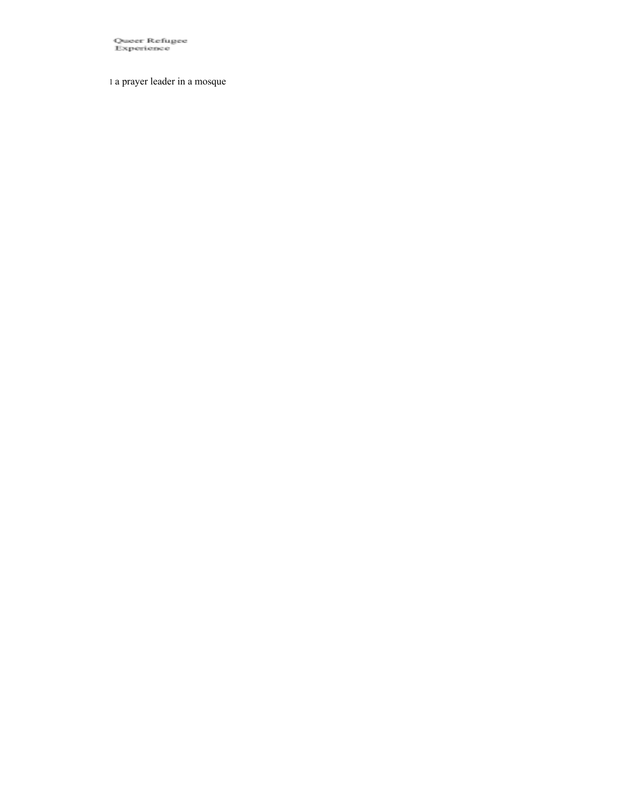Queer Refugee<br>Experience

1 a prayer leader in a mosque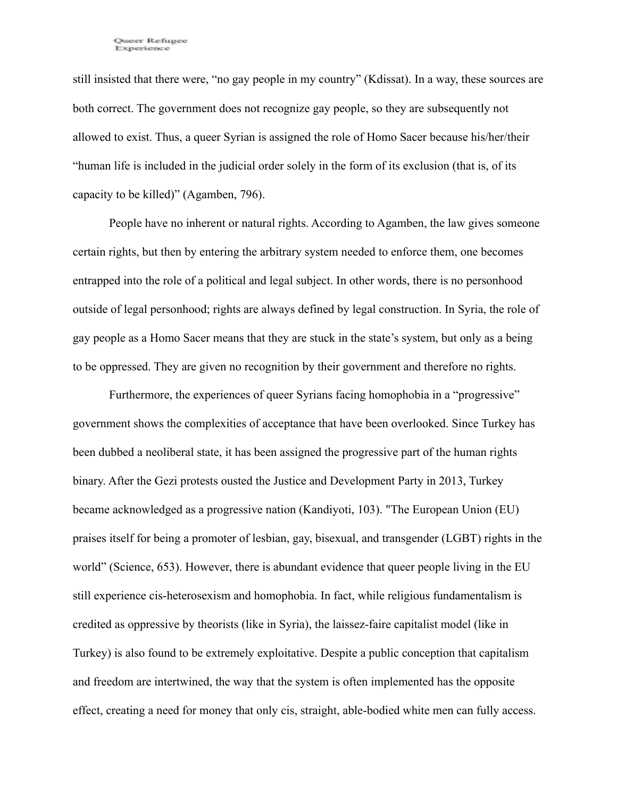still insisted that there were, "no gay people in my country" (Kdissat). In a way, these sources are both correct. The government does not recognize gay people, so they are subsequently not allowed to exist. Thus, a queer Syrian is assigned the role of Homo Sacer because his/her/their "human life is included in the judicial order solely in the form of its exclusion (that is, of its capacity to be killed)" (Agamben, 796).

People have no inherent or natural rights. According to Agamben, the law gives someone certain rights, but then by entering the arbitrary system needed to enforce them, one becomes entrapped into the role of a political and legal subject. In other words, there is no personhood outside of legal personhood; rights are always defined by legal construction. In Syria, the role of gay people as a Homo Sacer means that they are stuck in the state's system, but only as a being to be oppressed. They are given no recognition by their government and therefore no rights.

Furthermore, the experiences of queer Syrians facing homophobia in a "progressive" government shows the complexities of acceptance that have been overlooked. Since Turkey has been dubbed a neoliberal state, it has been assigned the progressive part of the human rights binary. After the Gezi protests ousted the Justice and Development Party in 2013, Turkey became acknowledged as a progressive nation (Kandiyoti, 103). "The European Union (EU) praises itself for being a promoter of lesbian, gay, bisexual, and transgender (LGBT) rights in the world" (Science, 653). However, there is abundant evidence that queer people living in the EU still experience cis-heterosexism and homophobia. In fact, while religious fundamentalism is credited as oppressive by theorists (like in Syria), the laissez-faire capitalist model (like in Turkey) is also found to be extremely exploitative. Despite a public conception that capitalism and freedom are intertwined, the way that the system is often implemented has the opposite effect, creating a need for money that only cis, straight, able-bodied white men can fully access.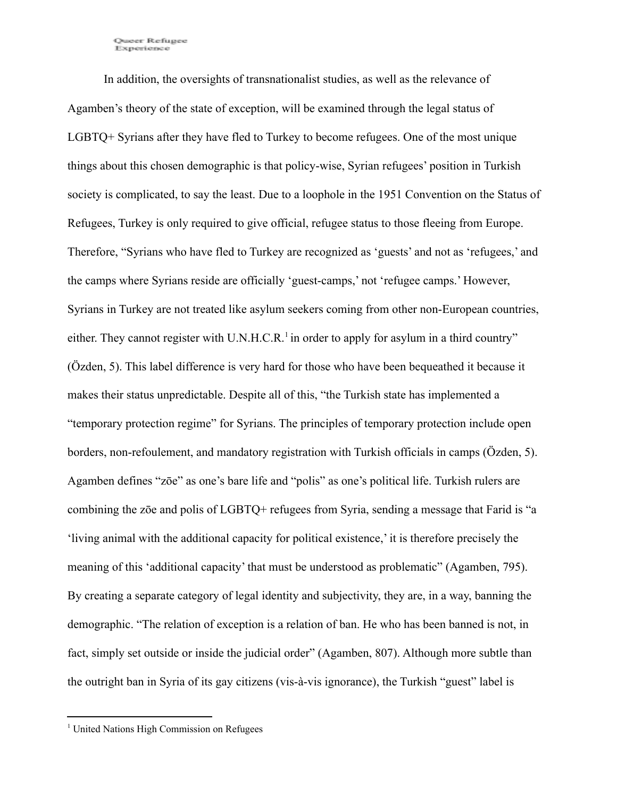In addition, the oversights of transnationalist studies, as well as the relevance of Agamben's theory of the state of exception, will be examined through the legal status of LGBTQ+ Syrians after they have fled to Turkey to become refugees. One of the most unique things about this chosen demographic is that policy-wise, Syrian refugees' position in Turkish society is complicated, to say the least. Due to a loophole in the 1951 Convention on the Status of Refugees, Turkey is only required to give official, refugee status to those fleeing from Europe. Therefore, "Syrians who have fled to Turkey are recognized as 'guests' and not as 'refugees,' and the camps where Syrians reside are officially 'guest-camps,' not 'refugee camps.' However, Syrians in Turkey are not treated like asylum seekers coming from other non-European countries, either. They cannot register with U.N.H.C.R.<sup>1</sup> in order to apply for asylum in a third country" (Özden, 5). This label difference is very hard for those who have been bequeathed it because it makes their status unpredictable. Despite all of this, "the Turkish state has implemented a "temporary protection regime" for Syrians. The principles of temporary protection include open borders, non-refoulement, and mandatory registration with Turkish officials in camps (Özden, 5). Agamben defines "zōe" as one's bare life and "polis" as one's political life. Turkish rulers are combining the zōe and polis of LGBTQ+ refugees from Syria, sending a message that Farid is "a 'living animal with the additional capacity for political existence,' it is therefore precisely the meaning of this 'additional capacity' that must be understood as problematic" (Agamben, 795). By creating a separate category of legal identity and subjectivity, they are, in a way, banning the demographic. "The relation of exception is a relation of ban. He who has been banned is not, in fact, simply set outside or inside the judicial order" (Agamben, 807). Although more subtle than the outright ban in Syria of its gay citizens (vis-à-vis ignorance), the Turkish "guest" label is

<sup>&</sup>lt;sup>1</sup> United Nations High Commission on Refugees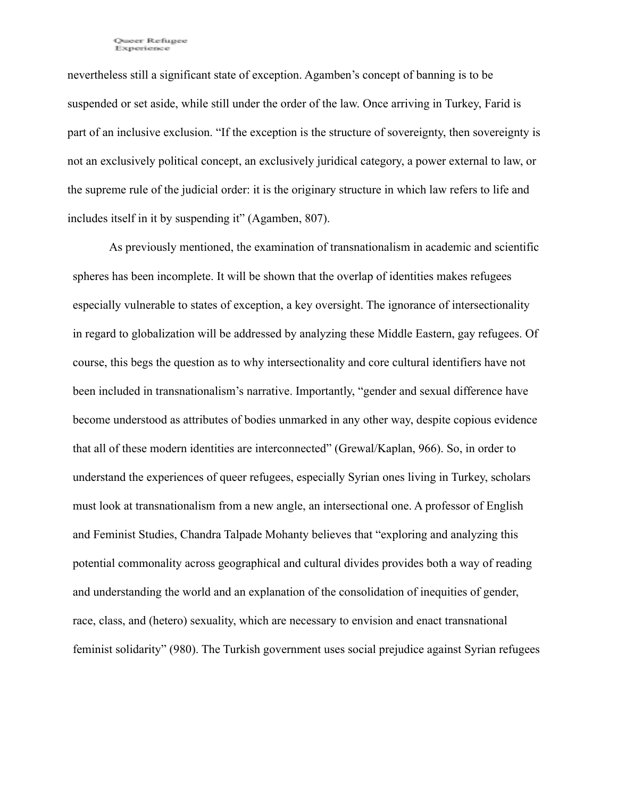nevertheless still a significant state of exception. Agamben's concept of banning is to be suspended or set aside, while still under the order of the law. Once arriving in Turkey, Farid is part of an inclusive exclusion. "If the exception is the structure of sovereignty, then sovereignty is not an exclusively political concept, an exclusively juridical category, a power external to law, or the supreme rule of the judicial order: it is the originary structure in which law refers to life and includes itself in it by suspending it" (Agamben, 807).

As previously mentioned, the examination of transnationalism in academic and scientific spheres has been incomplete. It will be shown that the overlap of identities makes refugees especially vulnerable to states of exception, a key oversight. The ignorance of intersectionality in regard to globalization will be addressed by analyzing these Middle Eastern, gay refugees. Of course, this begs the question as to why intersectionality and core cultural identifiers have not been included in transnationalism's narrative. Importantly, "gender and sexual difference have become understood as attributes of bodies unmarked in any other way, despite copious evidence that all of these modern identities are interconnected" (Grewal/Kaplan, 966). So, in order to understand the experiences of queer refugees, especially Syrian ones living in Turkey, scholars must look at transnationalism from a new angle, an intersectional one. A professor of English and Feminist Studies, Chandra Talpade Mohanty believes that "exploring and analyzing this potential commonality across geographical and cultural divides provides both a way of reading and understanding the world and an explanation of the consolidation of inequities of gender, race, class, and (hetero) sexuality, which are necessary to envision and enact transnational feminist solidarity" (980). The Turkish government uses social prejudice against Syrian refugees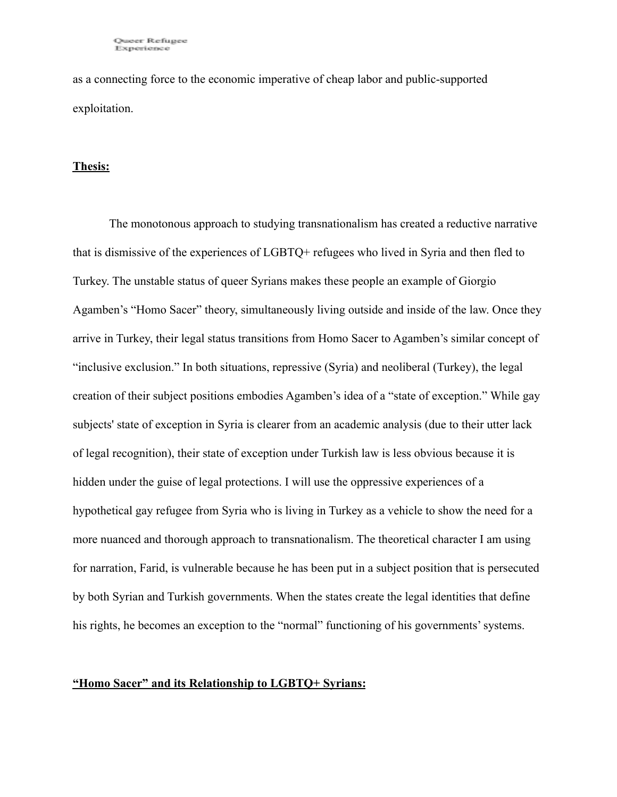as a connecting force to the economic imperative of cheap labor and public-supported exploitation.

## **Thesis:**

The monotonous approach to studying transnationalism has created a reductive narrative that is dismissive of the experiences of LGBTQ+ refugees who lived in Syria and then fled to Turkey. The unstable status of queer Syrians makes these people an example of Giorgio Agamben's "Homo Sacer" theory, simultaneously living outside and inside of the law. Once they arrive in Turkey, their legal status transitions from Homo Sacer to Agamben's similar concept of "inclusive exclusion." In both situations, repressive (Syria) and neoliberal (Turkey), the legal creation of their subject positions embodies Agamben's idea of a "state of exception." While gay subjects' state of exception in Syria is clearer from an academic analysis (due to their utter lack of legal recognition), their state of exception under Turkish law is less obvious because it is hidden under the guise of legal protections. I will use the oppressive experiences of a hypothetical gay refugee from Syria who is living in Turkey as a vehicle to show the need for a more nuanced and thorough approach to transnationalism. The theoretical character I am using for narration, Farid, is vulnerable because he has been put in a subject position that is persecuted by both Syrian and Turkish governments. When the states create the legal identities that define his rights, he becomes an exception to the "normal" functioning of his governments' systems.

### **"Homo Sacer" and its Relationship to LGBTQ+ Syrians:**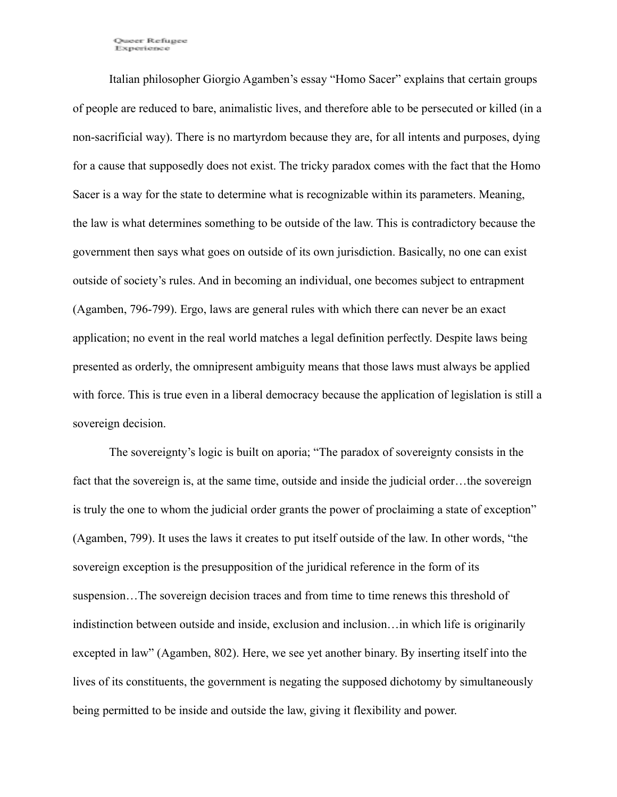Italian philosopher Giorgio Agamben's essay "Homo Sacer" explains that certain groups of people are reduced to bare, animalistic lives, and therefore able to be persecuted or killed (in a non-sacrificial way). There is no martyrdom because they are, for all intents and purposes, dying for a cause that supposedly does not exist. The tricky paradox comes with the fact that the Homo Sacer is a way for the state to determine what is recognizable within its parameters. Meaning, the law is what determines something to be outside of the law. This is contradictory because the government then says what goes on outside of its own jurisdiction. Basically, no one can exist outside of society's rules. And in becoming an individual, one becomes subject to entrapment (Agamben, 796-799). Ergo, laws are general rules with which there can never be an exact application; no event in the real world matches a legal definition perfectly. Despite laws being presented as orderly, the omnipresent ambiguity means that those laws must always be applied with force. This is true even in a liberal democracy because the application of legislation is still a sovereign decision.

The sovereignty's logic is built on aporia; "The paradox of sovereignty consists in the fact that the sovereign is, at the same time, outside and inside the judicial order…the sovereign is truly the one to whom the judicial order grants the power of proclaiming a state of exception" (Agamben, 799). It uses the laws it creates to put itself outside of the law. In other words, "the sovereign exception is the presupposition of the juridical reference in the form of its suspension…The sovereign decision traces and from time to time renews this threshold of indistinction between outside and inside, exclusion and inclusion…in which life is originarily excepted in law" (Agamben, 802). Here, we see yet another binary. By inserting itself into the lives of its constituents, the government is negating the supposed dichotomy by simultaneously being permitted to be inside and outside the law, giving it flexibility and power.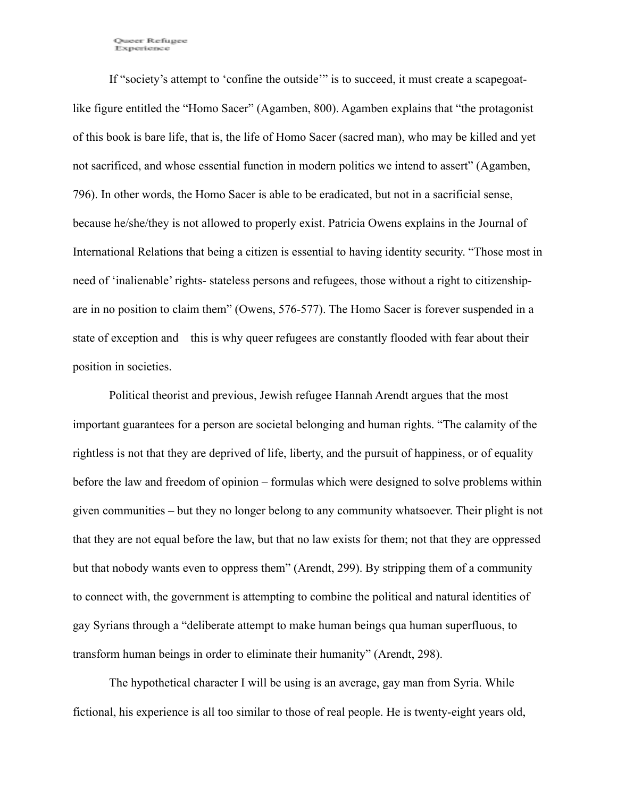Queer Refugee Experience

If "society's attempt to 'confine the outside'" is to succeed, it must create a scapegoatlike figure entitled the "Homo Sacer" (Agamben, 800). Agamben explains that "the protagonist of this book is bare life, that is, the life of Homo Sacer (sacred man), who may be killed and yet not sacrificed, and whose essential function in modern politics we intend to assert" (Agamben, 796). In other words, the Homo Sacer is able to be eradicated, but not in a sacrificial sense, because he/she/they is not allowed to properly exist. Patricia Owens explains in the Journal of International Relations that being a citizen is essential to having identity security. "Those most in need of 'inalienable' rights- stateless persons and refugees, those without a right to citizenshipare in no position to claim them" (Owens, 576-577). The Homo Sacer is forever suspended in a state of exception and this is why queer refugees are constantly flooded with fear about their position in societies.

Political theorist and previous, Jewish refugee Hannah Arendt argues that the most important guarantees for a person are societal belonging and human rights. "The calamity of the rightless is not that they are deprived of life, liberty, and the pursuit of happiness, or of equality before the law and freedom of opinion – formulas which were designed to solve problems within given communities – but they no longer belong to any community whatsoever. Their plight is not that they are not equal before the law, but that no law exists for them; not that they are oppressed but that nobody wants even to oppress them" (Arendt, 299). By stripping them of a community to connect with, the government is attempting to combine the political and natural identities of gay Syrians through a "deliberate attempt to make human beings qua human superfluous, to transform human beings in order to eliminate their humanity" (Arendt, 298).

The hypothetical character I will be using is an average, gay man from Syria. While fictional, his experience is all too similar to those of real people. He is twenty-eight years old,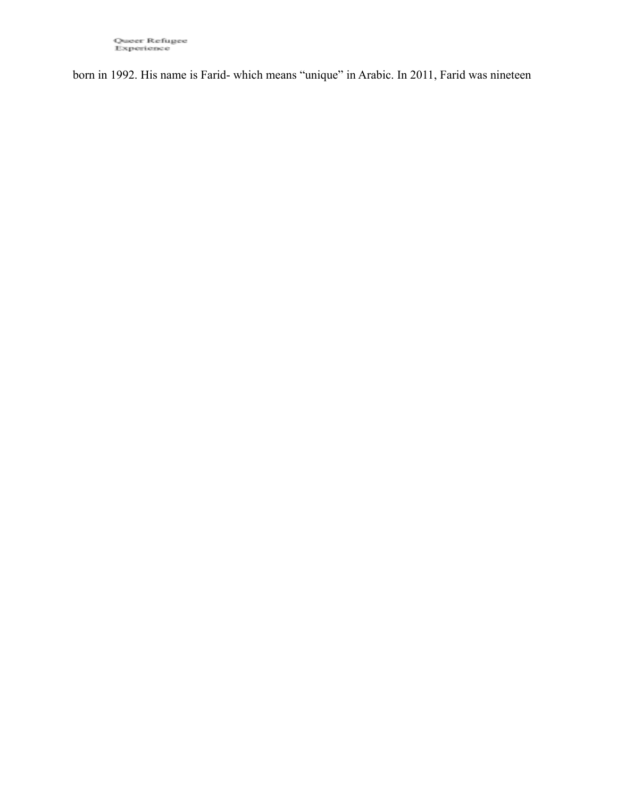born in 1992. His name is Farid- which means "unique" in Arabic. In 2011, Farid was nineteen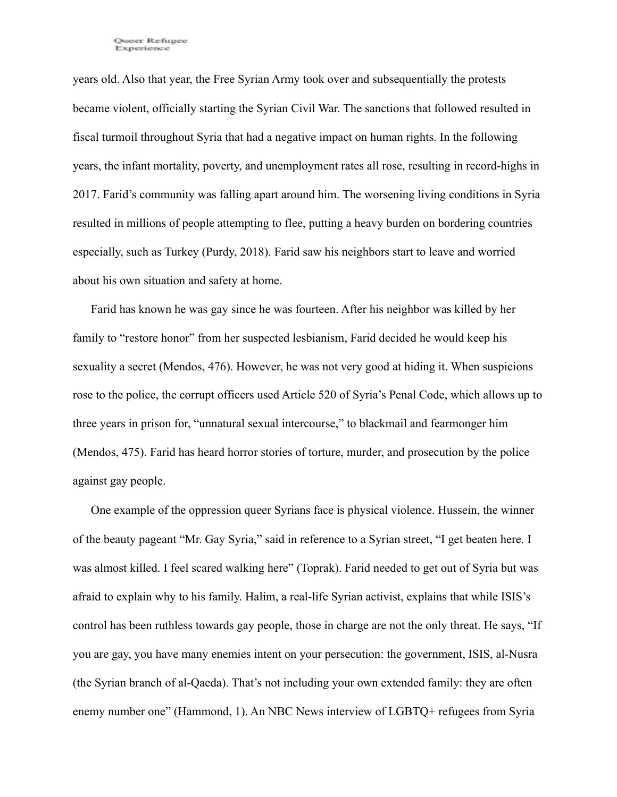years old. Also that year, the Free Syrian Army took over and subsequentially the protests became violent, officially starting the Syrian Civil War. The sanctions that followed resulted in fiscal turmoil throughout Syria that had a negative impact on human rights. In the following years, the infant mortality, poverty, and unemployment rates all rose, resulting in record-highs in 2017. Farid's community was falling apart around him. The worsening living conditions in Syria resulted in millions of people attempting to flee, putting a heavy burden on bordering countries especially, such as Turkey (Purdy, 2018). Farid saw his neighbors start to leave and worried about his own situation and safety at home.

Farid has known he was gay since he was fourteen. After his neighbor was killed by her family to "restore honor" from her suspected lesbianism, Farid decided he would keep his sexuality a secret (Mendos, 476). However, he was not very good at hiding it. When suspicions rose to the police, the corrupt officers used Article 520 of Syria's Penal Code, which allows up to three years in prison for, "unnatural sexual intercourse," to blackmail and fearmonger him (Mendos, 475). Farid has heard horror stories of torture, murder, and prosecution by the police against gay people.

One example of the oppression queer Syrians face is physical violence. Hussein, the winner of the beauty pageant "Mr. Gay Syria," said in reference to a Syrian street, "I get beaten here. I was almost killed. I feel scared walking here" (Toprak). Farid needed to get out of Syria but was afraid to explain why to his family. Halim, a real-life Syrian activist, explains that while ISIS's control has been ruthless towards gay people, those in charge are not the only threat. He says, "If you are gay, you have many enemies intent on your persecution: the government, ISIS, al-Nusra (the Syrian branch of al-Qaeda). That's not including your own extended family: they are often enemy number one" (Hammond, 1). An NBC News interview of LGBTQ+ refugees from Syria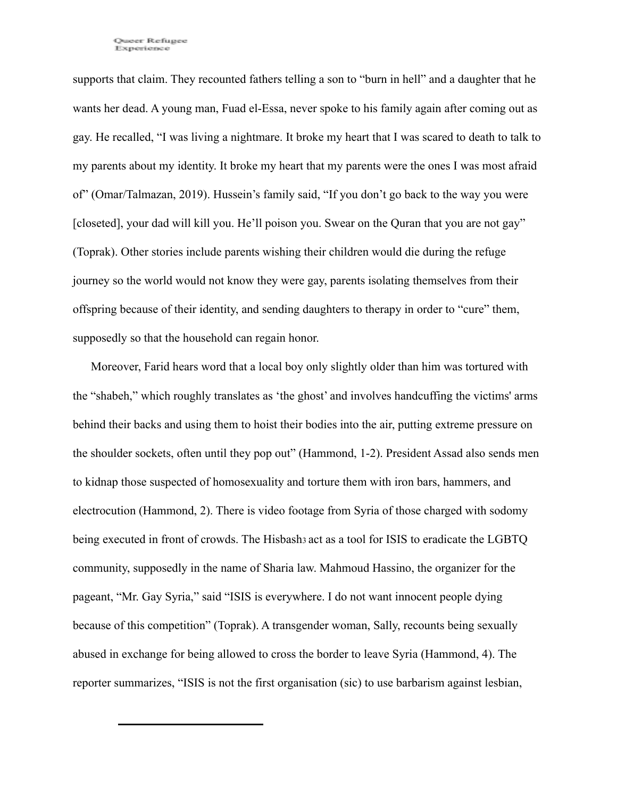supports that claim. They recounted fathers telling a son to "burn in hell" and a daughter that he wants her dead. A young man, Fuad el-Essa, never spoke to his family again after coming out as gay. He recalled, "I was living a nightmare. It broke my heart that I was scared to death to talk to my parents about my identity. It broke my heart that my parents were the ones I was most afraid of" (Omar/Talmazan, 2019). Hussein's family said, "If you don't go back to the way you were [closeted], your dad will kill you. He'll poison you. Swear on the Quran that you are not gay" (Toprak). Other stories include parents wishing their children would die during the refuge journey so the world would not know they were gay, parents isolating themselves from their offspring because of their identity, and sending daughters to therapy in order to "cure" them, supposedly so that the household can regain honor.

Moreover, Farid hears word that a local boy only slightly older than him was tortured with the "shabeh," which roughly translates as 'the ghost' and involves handcuffing the victims' arms behind their backs and using them to hoist their bodies into the air, putting extreme pressure on the shoulder sockets, often until they pop out" (Hammond, 1-2). President Assad also sends men to kidnap those suspected of homosexuality and torture them with iron bars, hammers, and electrocution (Hammond, 2). There is video footage from Syria of those charged with sodomy being executed in front of crowds. The Hisbash act as a tool for ISIS to eradicate the LGBTQ community, supposedly in the name of Sharia law. Mahmoud Hassino, the organizer for the pageant, "Mr. Gay Syria," said "ISIS is everywhere. I do not want innocent people dying because of this competition" (Toprak). A transgender woman, Sally, recounts being sexually abused in exchange for being allowed to cross the border to leave Syria (Hammond, 4). The reporter summarizes, "ISIS is not the first organisation (sic) to use barbarism against lesbian,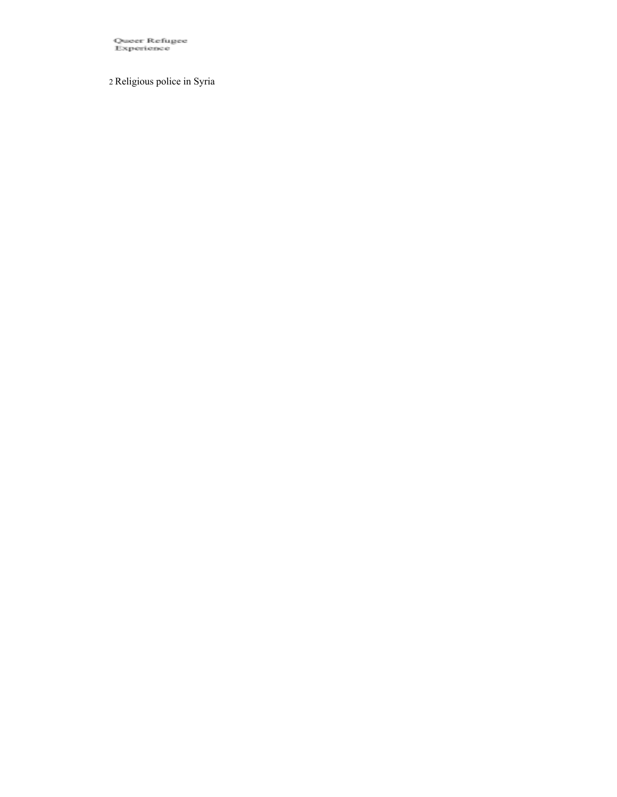Queer Refugee<br>Experience

2 Religious police in Syria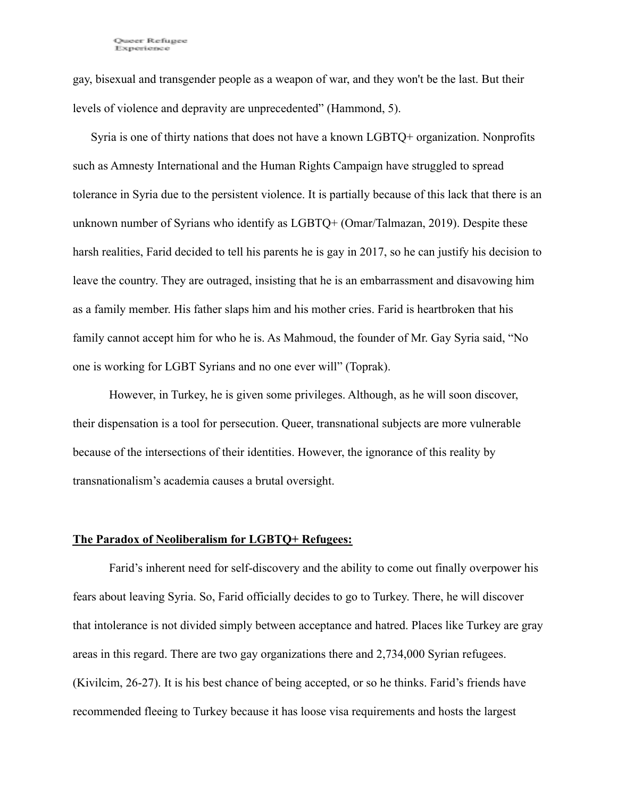gay, bisexual and transgender people as a weapon of war, and they won't be the last. But their levels of violence and depravity are unprecedented" (Hammond, 5).

Syria is one of thirty nations that does not have a known LGBTQ+ organization. Nonprofits such as Amnesty International and the Human Rights Campaign have struggled to spread tolerance in Syria due to the persistent violence. It is partially because of this lack that there is an unknown number of Syrians who identify as LGBTQ+ (Omar/Talmazan, 2019). Despite these harsh realities, Farid decided to tell his parents he is gay in 2017, so he can justify his decision to leave the country. They are outraged, insisting that he is an embarrassment and disavowing him as a family member. His father slaps him and his mother cries. Farid is heartbroken that his family cannot accept him for who he is. As Mahmoud, the founder of Mr. Gay Syria said, "No one is working for LGBT Syrians and no one ever will" (Toprak).

However, in Turkey, he is given some privileges. Although, as he will soon discover, their dispensation is a tool for persecution. Queer, transnational subjects are more vulnerable because of the intersections of their identities. However, the ignorance of this reality by transnationalism's academia causes a brutal oversight.

## **The Paradox of Neoliberalism for LGBTQ+ Refugees:**

Farid's inherent need for self-discovery and the ability to come out finally overpower his fears about leaving Syria. So, Farid officially decides to go to Turkey. There, he will discover that intolerance is not divided simply between acceptance and hatred. Places like Turkey are gray areas in this regard. There are two gay organizations there and 2,734,000 Syrian refugees. (Kivilcim, 26-27). It is his best chance of being accepted, or so he thinks. Farid's friends have recommended fleeing to Turkey because it has loose visa requirements and hosts the largest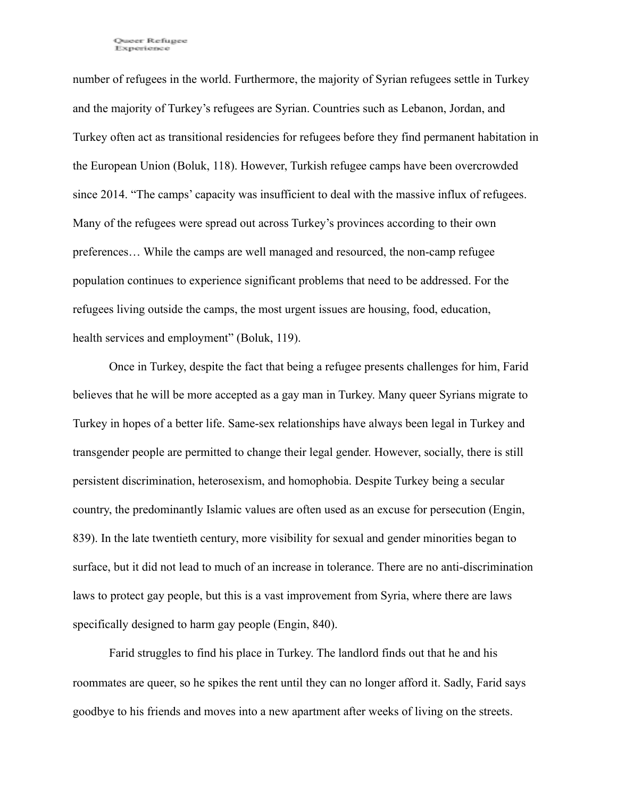number of refugees in the world. Furthermore, the majority of Syrian refugees settle in Turkey and the majority of Turkey's refugees are Syrian. Countries such as Lebanon, Jordan, and Turkey often act as transitional residencies for refugees before they find permanent habitation in the European Union (Boluk, 118). However, Turkish refugee camps have been overcrowded since 2014. "The camps' capacity was insufficient to deal with the massive influx of refugees. Many of the refugees were spread out across Turkey's provinces according to their own preferences… While the camps are well managed and resourced, the non-camp refugee population continues to experience significant problems that need to be addressed. For the refugees living outside the camps, the most urgent issues are housing, food, education, health services and employment" (Boluk, 119).

Once in Turkey, despite the fact that being a refugee presents challenges for him, Farid believes that he will be more accepted as a gay man in Turkey. Many queer Syrians migrate to Turkey in hopes of a better life. Same-sex relationships have always been legal in Turkey and transgender people are permitted to change their legal gender. However, socially, there is still persistent discrimination, heterosexism, and homophobia. Despite Turkey being a secular country, the predominantly Islamic values are often used as an excuse for persecution (Engin, 839). In the late twentieth century, more visibility for sexual and gender minorities began to surface, but it did not lead to much of an increase in tolerance. There are no anti-discrimination laws to protect gay people, but this is a vast improvement from Syria, where there are laws specifically designed to harm gay people (Engin, 840).

Farid struggles to find his place in Turkey. The landlord finds out that he and his roommates are queer, so he spikes the rent until they can no longer afford it. Sadly, Farid says goodbye to his friends and moves into a new apartment after weeks of living on the streets.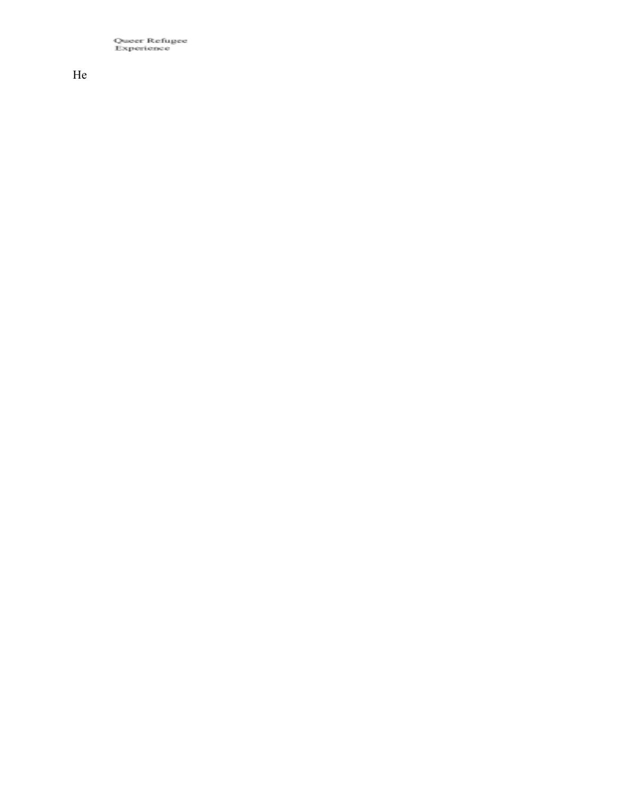Queer Refugee<br>Experience

He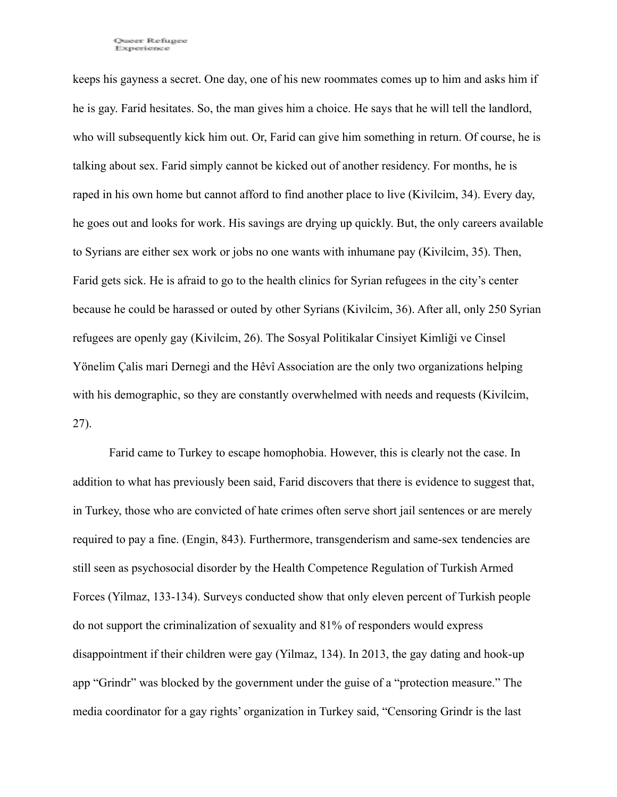keeps his gayness a secret. One day, one of his new roommates comes up to him and asks him if he is gay. Farid hesitates. So, the man gives him a choice. He says that he will tell the landlord, who will subsequently kick him out. Or, Farid can give him something in return. Of course, he is talking about sex. Farid simply cannot be kicked out of another residency. For months, he is raped in his own home but cannot afford to find another place to live (Kivilcim, 34). Every day, he goes out and looks for work. His savings are drying up quickly. But, the only careers available to Syrians are either sex work or jobs no one wants with inhumane pay (Kivilcim, 35). Then, Farid gets sick. He is afraid to go to the health clinics for Syrian refugees in the city's center because he could be harassed or outed by other Syrians (Kivilcim, 36). After all, only 250 Syrian refugees are openly gay (Kivilcim, 26). The Sosyal Politikalar Cinsiyet Kimliği ve Cinsel Yönelim Çalis mari Dernegi and the Hêvî Association are the only two organizations helping with his demographic, so they are constantly overwhelmed with needs and requests (Kivilcim, 27).

Farid came to Turkey to escape homophobia. However, this is clearly not the case. In addition to what has previously been said, Farid discovers that there is evidence to suggest that, in Turkey, those who are convicted of hate crimes often serve short jail sentences or are merely required to pay a fine. (Engin, 843). Furthermore, transgenderism and same-sex tendencies are still seen as psychosocial disorder by the Health Competence Regulation of Turkish Armed Forces (Yilmaz, 133-134). Surveys conducted show that only eleven percent of Turkish people do not support the criminalization of sexuality and 81% of responders would express disappointment if their children were gay (Yilmaz, 134). In 2013, the gay dating and hook-up app "Grindr" was blocked by the government under the guise of a "protection measure." The media coordinator for a gay rights' organization in Turkey said, "Censoring Grindr is the last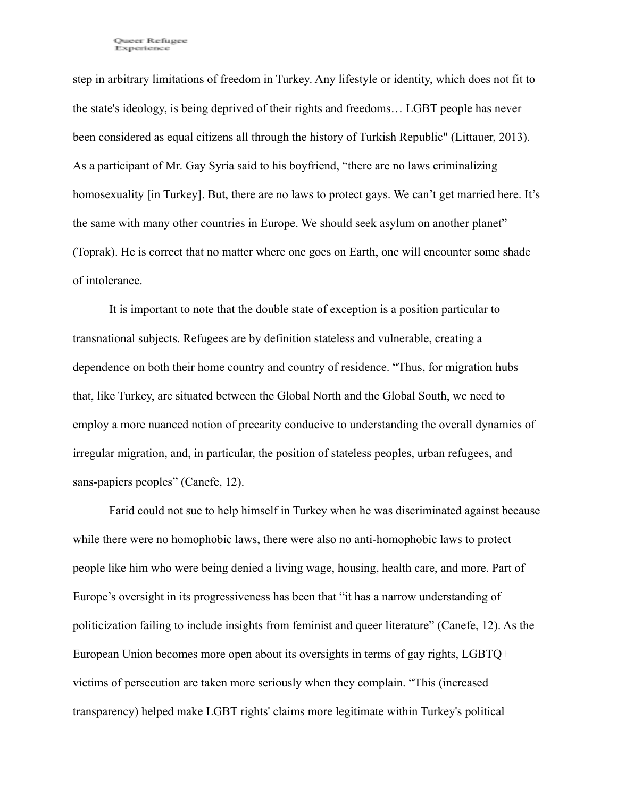step in arbitrary limitations of freedom in Turkey. Any lifestyle or identity, which does not fit to the state's ideology, is being deprived of their rights and freedoms… LGBT people has never been considered as equal citizens all through the history of Turkish Republic" (Littauer, 2013). As a participant of Mr. Gay Syria said to his boyfriend, "there are no laws criminalizing homosexuality [in Turkey]. But, there are no laws to protect gays. We can't get married here. It's the same with many other countries in Europe. We should seek asylum on another planet" (Toprak). He is correct that no matter where one goes on Earth, one will encounter some shade of intolerance.

It is important to note that the double state of exception is a position particular to transnational subjects. Refugees are by definition stateless and vulnerable, creating a dependence on both their home country and country of residence. "Thus, for migration hubs that, like Turkey, are situated between the Global North and the Global South, we need to employ a more nuanced notion of precarity conducive to understanding the overall dynamics of irregular migration, and, in particular, the position of stateless peoples, urban refugees, and sans-papiers peoples" (Canefe, 12).

Farid could not sue to help himself in Turkey when he was discriminated against because while there were no homophobic laws, there were also no anti-homophobic laws to protect people like him who were being denied a living wage, housing, health care, and more. Part of Europe's oversight in its progressiveness has been that "it has a narrow understanding of politicization failing to include insights from feminist and queer literature" (Canefe, 12). As the European Union becomes more open about its oversights in terms of gay rights, LGBTQ+ victims of persecution are taken more seriously when they complain. "This (increased transparency) helped make LGBT rights' claims more legitimate within Turkey's political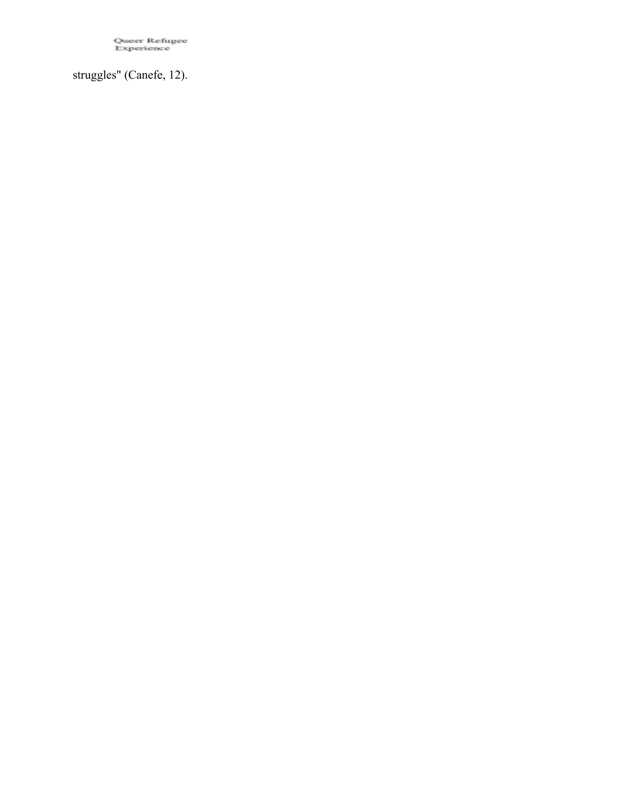Queer Refugee<br>Experience

struggles" (Canefe, 12).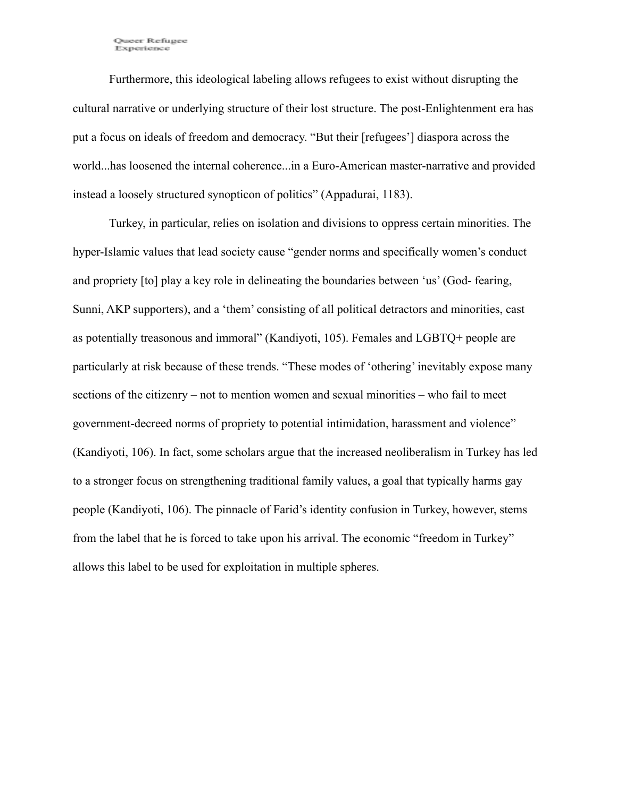Furthermore, this ideological labeling allows refugees to exist without disrupting the cultural narrative or underlying structure of their lost structure. The post-Enlightenment era has put a focus on ideals of freedom and democracy. "But their [refugees'] diaspora across the world...has loosened the internal coherence...in a Euro-American master-narrative and provided instead a loosely structured synopticon of politics" (Appadurai, 1183).

Turkey, in particular, relies on isolation and divisions to oppress certain minorities. The hyper-Islamic values that lead society cause "gender norms and specifically women's conduct and propriety [to] play a key role in delineating the boundaries between 'us' (God- fearing, Sunni, AKP supporters), and a 'them' consisting of all political detractors and minorities, cast as potentially treasonous and immoral" (Kandiyoti, 105). Females and LGBTQ+ people are particularly at risk because of these trends. "These modes of 'othering' inevitably expose many sections of the citizenry – not to mention women and sexual minorities – who fail to meet government-decreed norms of propriety to potential intimidation, harassment and violence" (Kandiyoti, 106). In fact, some scholars argue that the increased neoliberalism in Turkey has led to a stronger focus on strengthening traditional family values, a goal that typically harms gay people (Kandiyoti, 106). The pinnacle of Farid's identity confusion in Turkey, however, stems from the label that he is forced to take upon his arrival. The economic "freedom in Turkey" allows this label to be used for exploitation in multiple spheres.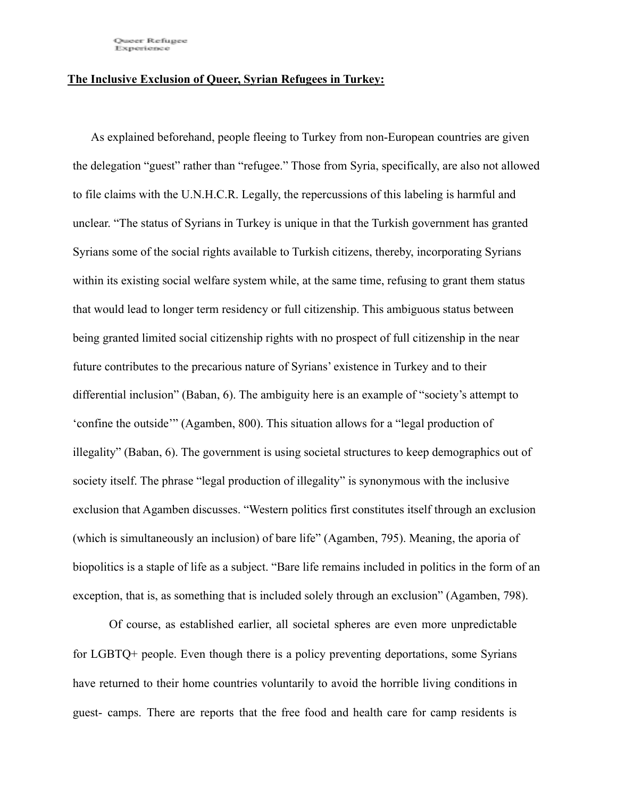### **The Inclusive Exclusion of Queer, Syrian Refugees in Turkey:**

As explained beforehand, people fleeing to Turkey from non-European countries are given the delegation "guest" rather than "refugee." Those from Syria, specifically, are also not allowed to file claims with the U.N.H.C.R. Legally, the repercussions of this labeling is harmful and unclear. "The status of Syrians in Turkey is unique in that the Turkish government has granted Syrians some of the social rights available to Turkish citizens, thereby, incorporating Syrians within its existing social welfare system while, at the same time, refusing to grant them status that would lead to longer term residency or full citizenship. This ambiguous status between being granted limited social citizenship rights with no prospect of full citizenship in the near future contributes to the precarious nature of Syrians' existence in Turkey and to their differential inclusion" (Baban, 6). The ambiguity here is an example of "society's attempt to 'confine the outside'" (Agamben, 800). This situation allows for a "legal production of illegality" (Baban, 6). The government is using societal structures to keep demographics out of society itself. The phrase "legal production of illegality" is synonymous with the inclusive exclusion that Agamben discusses. "Western politics first constitutes itself through an exclusion (which is simultaneously an inclusion) of bare life" (Agamben, 795). Meaning, the aporia of biopolitics is a staple of life as a subject. "Bare life remains included in politics in the form of an exception, that is, as something that is included solely through an exclusion" (Agamben, 798).

Of course, as established earlier, all societal spheres are even more unpredictable for LGBTQ+ people. Even though there is a policy preventing deportations, some Syrians have returned to their home countries voluntarily to avoid the horrible living conditions in guest- camps. There are reports that the free food and health care for camp residents is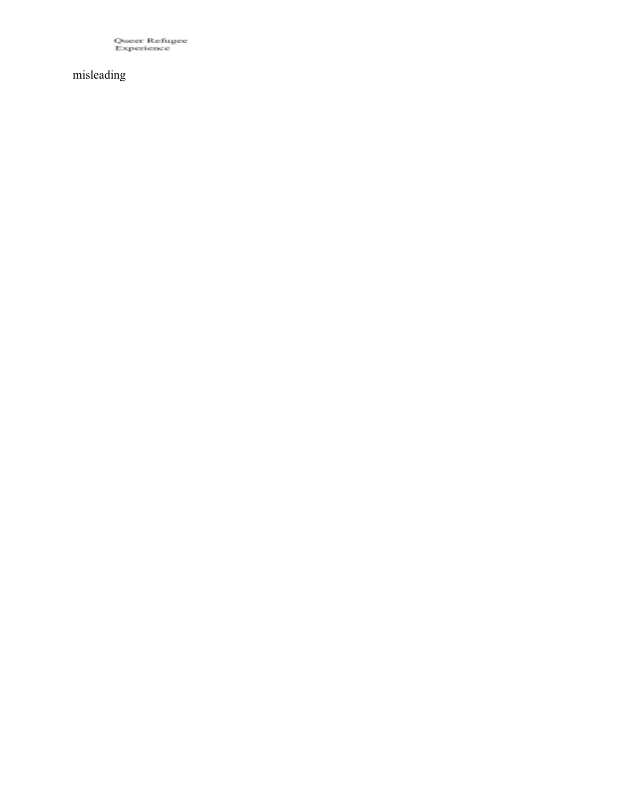Queer Refugee<br>Experience

misleading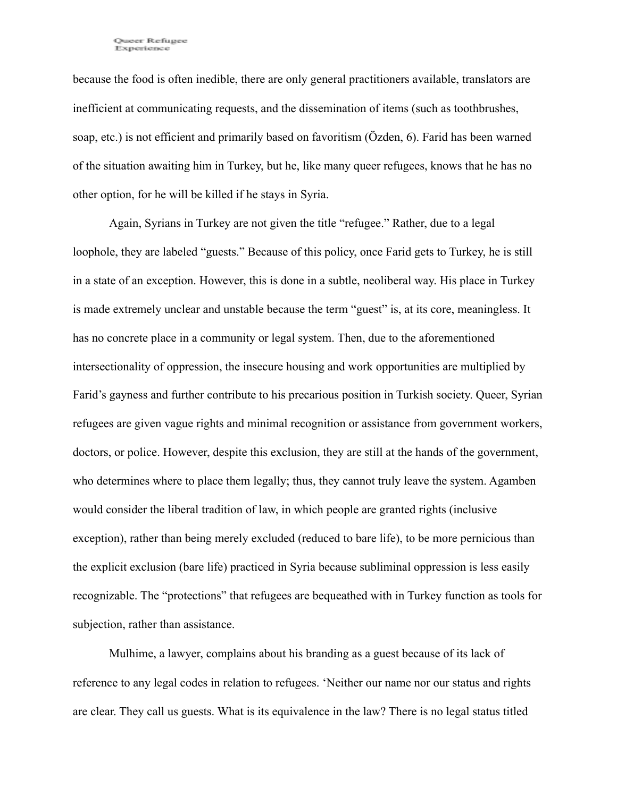because the food is often inedible, there are only general practitioners available, translators are inefficient at communicating requests, and the dissemination of items (such as toothbrushes, soap, etc.) is not efficient and primarily based on favoritism (Özden, 6). Farid has been warned of the situation awaiting him in Turkey, but he, like many queer refugees, knows that he has no other option, for he will be killed if he stays in Syria.

Again, Syrians in Turkey are not given the title "refugee." Rather, due to a legal loophole, they are labeled "guests." Because of this policy, once Farid gets to Turkey, he is still in a state of an exception. However, this is done in a subtle, neoliberal way. His place in Turkey is made extremely unclear and unstable because the term "guest" is, at its core, meaningless. It has no concrete place in a community or legal system. Then, due to the aforementioned intersectionality of oppression, the insecure housing and work opportunities are multiplied by Farid's gayness and further contribute to his precarious position in Turkish society. Queer, Syrian refugees are given vague rights and minimal recognition or assistance from government workers, doctors, or police. However, despite this exclusion, they are still at the hands of the government, who determines where to place them legally; thus, they cannot truly leave the system. Agamben would consider the liberal tradition of law, in which people are granted rights (inclusive exception), rather than being merely excluded (reduced to bare life), to be more pernicious than the explicit exclusion (bare life) practiced in Syria because subliminal oppression is less easily recognizable. The "protections" that refugees are bequeathed with in Turkey function as tools for subjection, rather than assistance.

Mulhime, a lawyer, complains about his branding as a guest because of its lack of reference to any legal codes in relation to refugees. 'Neither our name nor our status and rights are clear. They call us guests. What is its equivalence in the law? There is no legal status titled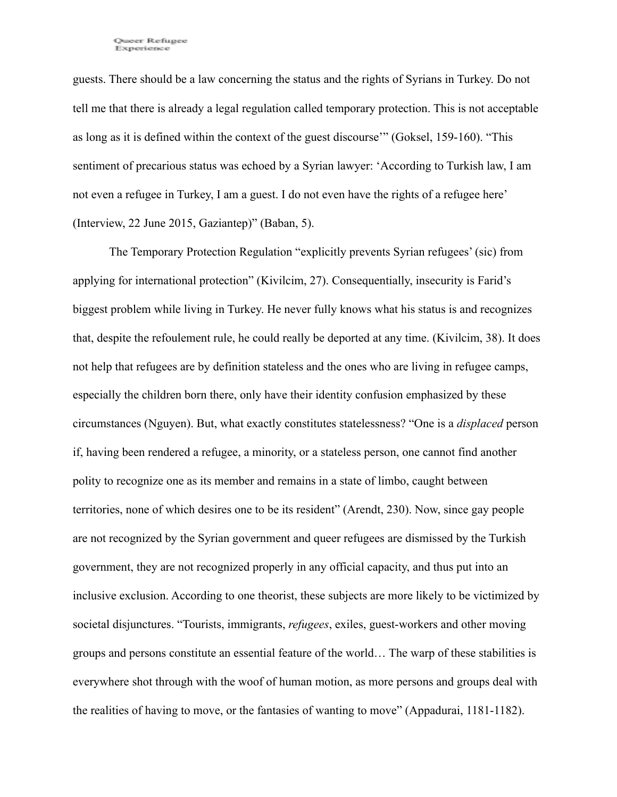guests. There should be a law concerning the status and the rights of Syrians in Turkey. Do not tell me that there is already a legal regulation called temporary protection. This is not acceptable as long as it is defined within the context of the guest discourse'" (Goksel, 159-160). "This sentiment of precarious status was echoed by a Syrian lawyer: 'According to Turkish law, I am not even a refugee in Turkey, I am a guest. I do not even have the rights of a refugee here' (Interview, 22 June 2015, Gaziantep)" (Baban, 5).

The Temporary Protection Regulation "explicitly prevents Syrian refugees' (sic) from applying for international protection" (Kivilcim, 27). Consequentially, insecurity is Farid's biggest problem while living in Turkey. He never fully knows what his status is and recognizes that, despite the refoulement rule, he could really be deported at any time. (Kivilcim, 38). It does not help that refugees are by definition stateless and the ones who are living in refugee camps, especially the children born there, only have their identity confusion emphasized by these circumstances (Nguyen). But, what exactly constitutes statelessness? "One is a *displaced* person if, having been rendered a refugee, a minority, or a stateless person, one cannot find another polity to recognize one as its member and remains in a state of limbo, caught between territories, none of which desires one to be its resident" (Arendt, 230). Now, since gay people are not recognized by the Syrian government and queer refugees are dismissed by the Turkish government, they are not recognized properly in any official capacity, and thus put into an inclusive exclusion. According to one theorist, these subjects are more likely to be victimized by societal disjunctures. "Tourists, immigrants, *refugees*, exiles, guest-workers and other moving groups and persons constitute an essential feature of the world… The warp of these stabilities is everywhere shot through with the woof of human motion, as more persons and groups deal with the realities of having to move, or the fantasies of wanting to move" (Appadurai, 1181-1182).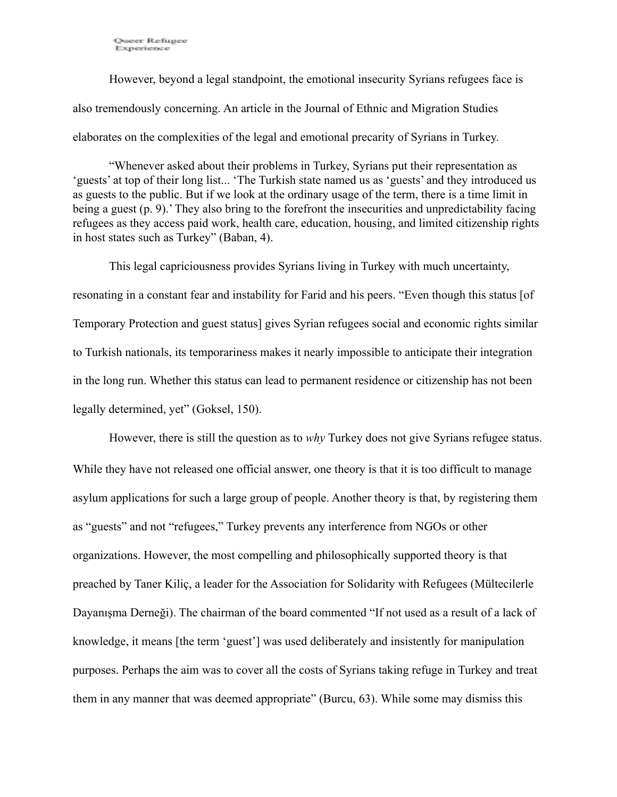However, beyond a legal standpoint, the emotional insecurity Syrians refugees face is also tremendously concerning. An article in the Journal of Ethnic and Migration Studies elaborates on the complexities of the legal and emotional precarity of Syrians in Turkey.

"Whenever asked about their problems in Turkey, Syrians put their representation as 'guests' at top of their long list... 'The Turkish state named us as 'guests' and they introduced us as guests to the public. But if we look at the ordinary usage of the term, there is a time limit in being a guest (p. 9).' They also bring to the forefront the insecurities and unpredictability facing refugees as they access paid work, health care, education, housing, and limited citizenship rights in host states such as Turkey" (Baban, 4).

This legal capriciousness provides Syrians living in Turkey with much uncertainty, resonating in a constant fear and instability for Farid and his peers. "Even though this status [of Temporary Protection and guest status] gives Syrian refugees social and economic rights similar to Turkish nationals, its temporariness makes it nearly impossible to anticipate their integration in the long run. Whether this status can lead to permanent residence or citizenship has not been legally determined, yet" (Goksel, 150).

However, there is still the question as to *why* Turkey does not give Syrians refugee status. While they have not released one official answer, one theory is that it is too difficult to manage asylum applications for such a large group of people. Another theory is that, by registering them as "guests" and not "refugees," Turkey prevents any interference from NGOs or other organizations. However, the most compelling and philosophically supported theory is that preached by Taner Kiliç, a leader for the Association for Solidarity with Refugees (Mültecilerle Dayanışma Derneği). The chairman of the board commented "If not used as a result of a lack of knowledge, it means [the term 'guest'] was used deliberately and insistently for manipulation purposes. Perhaps the aim was to cover all the costs of Syrians taking refuge in Turkey and treat them in any manner that was deemed appropriate" (Burcu, 63). While some may dismiss this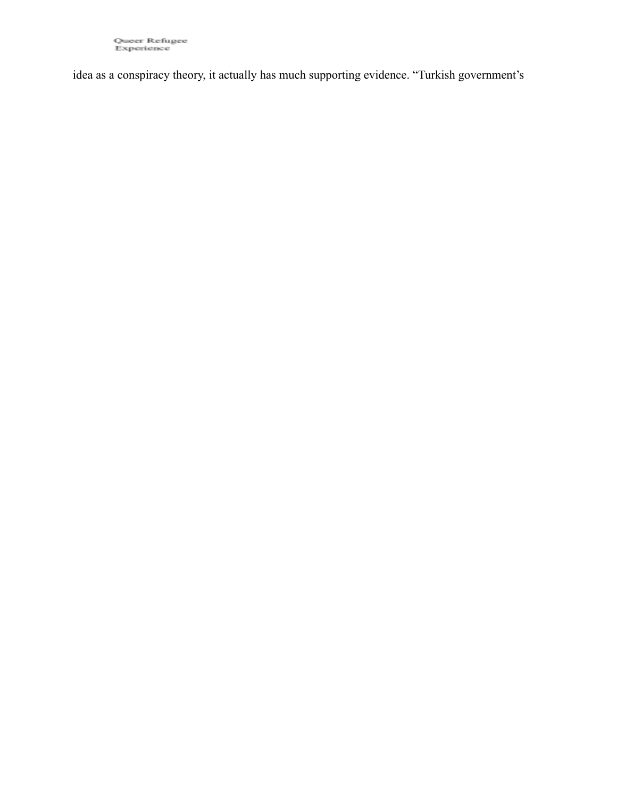idea as a conspiracy theory, it actually has much supporting evidence. "Turkish government's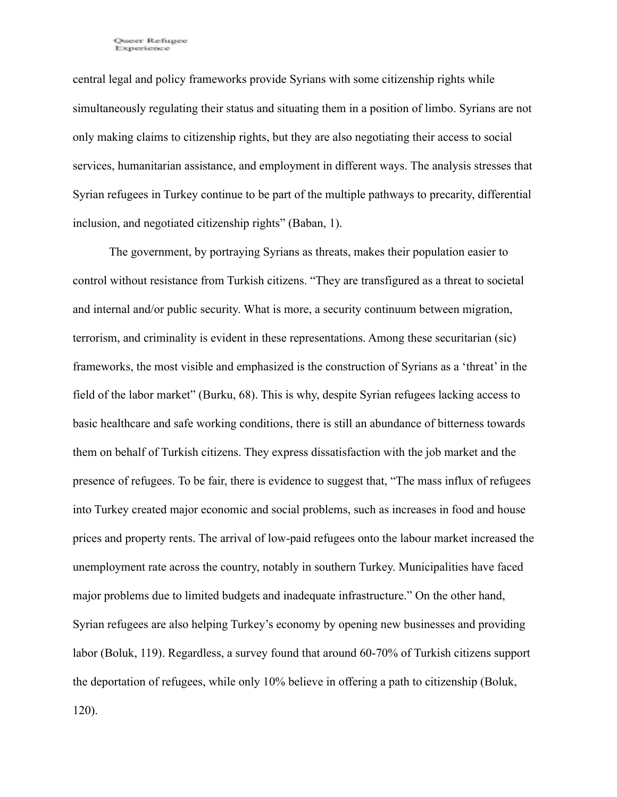central legal and policy frameworks provide Syrians with some citizenship rights while simultaneously regulating their status and situating them in a position of limbo. Syrians are not only making claims to citizenship rights, but they are also negotiating their access to social services, humanitarian assistance, and employment in different ways. The analysis stresses that Syrian refugees in Turkey continue to be part of the multiple pathways to precarity, differential inclusion, and negotiated citizenship rights" (Baban, 1).

The government, by portraying Syrians as threats, makes their population easier to control without resistance from Turkish citizens. "They are transfigured as a threat to societal and internal and/or public security. What is more, a security continuum between migration, terrorism, and criminality is evident in these representations. Among these securitarian (sic) frameworks, the most visible and emphasized is the construction of Syrians as a 'threat' in the field of the labor market" (Burku, 68). This is why, despite Syrian refugees lacking access to basic healthcare and safe working conditions, there is still an abundance of bitterness towards them on behalf of Turkish citizens. They express dissatisfaction with the job market and the presence of refugees. To be fair, there is evidence to suggest that, "The mass influx of refugees into Turkey created major economic and social problems, such as increases in food and house prices and property rents. The arrival of low-paid refugees onto the labour market increased the unemployment rate across the country, notably in southern Turkey. Municipalities have faced major problems due to limited budgets and inadequate infrastructure." On the other hand, Syrian refugees are also helping Turkey's economy by opening new businesses and providing labor (Boluk, 119). Regardless, a survey found that around 60-70% of Turkish citizens support the deportation of refugees, while only 10% believe in offering a path to citizenship (Boluk, 120).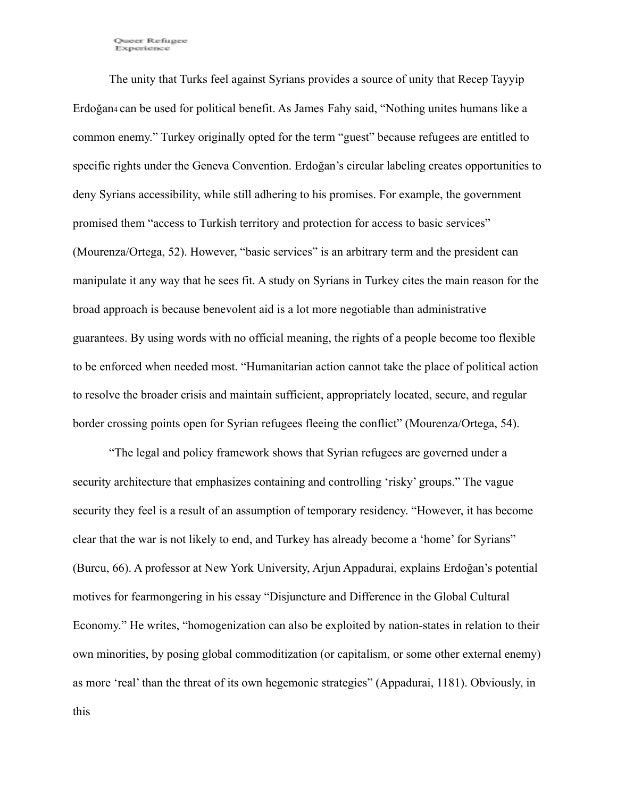Queer Refugee Experience

The unity that Turks feel against Syrians provides a source of unity that Recep Tayyip Erdoğan<sup>4</sup> can be used for political benefit. As James Fahy said, "Nothing unites humans like a common enemy." Turkey originally opted for the term "guest" because refugees are entitled to specific rights under the Geneva Convention. Erdoğan's circular labeling creates opportunities to deny Syrians accessibility, while still adhering to his promises. For example, the government promised them "access to Turkish territory and protection for access to basic services" (Mourenza/Ortega, 52). However, "basic services" is an arbitrary term and the president can manipulate it any way that he sees fit. A study on Syrians in Turkey cites the main reason for the broad approach is because benevolent aid is a lot more negotiable than administrative guarantees. By using words with no official meaning, the rights of a people become too flexible to be enforced when needed most. "Humanitarian action cannot take the place of political action to resolve the broader crisis and maintain sufficient, appropriately located, secure, and regular border crossing points open for Syrian refugees fleeing the conflict" (Mourenza/Ortega, 54).

"The legal and policy framework shows that Syrian refugees are governed under a security architecture that emphasizes containing and controlling 'risky' groups." The vague security they feel is a result of an assumption of temporary residency. "However, it has become clear that the war is not likely to end, and Turkey has already become a 'home' for Syrians" (Burcu, 66). A professor at New York University, Arjun Appadurai, explains Erdoğan's potential motives for fearmongering in his essay "Disjuncture and Difference in the Global Cultural Economy." He writes, "homogenization can also be exploited by nation-states in relation to their own minorities, by posing global commoditization (or capitalism, or some other external enemy) as more 'real' than the threat of its own hegemonic strategies" (Appadurai, 1181). Obviously, in this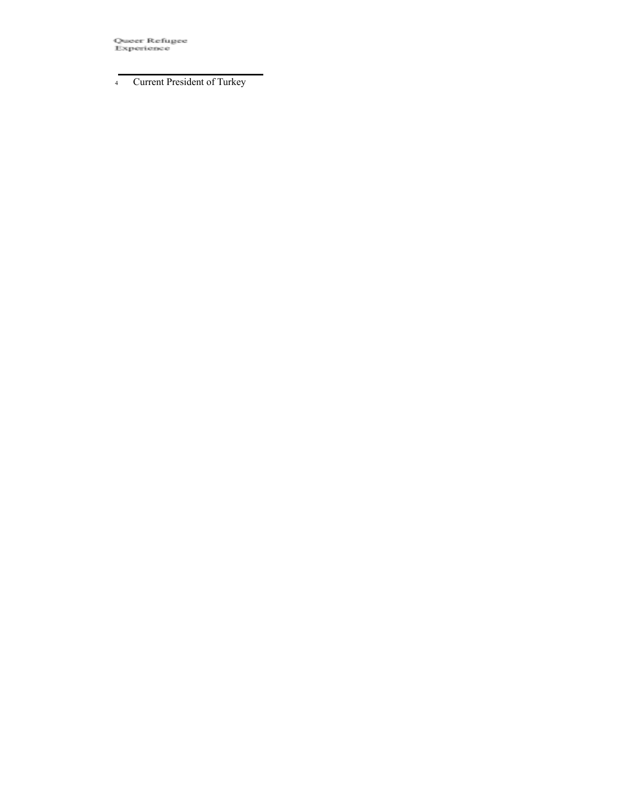Queer Refugee<br>Experience

4 Current President of Turkey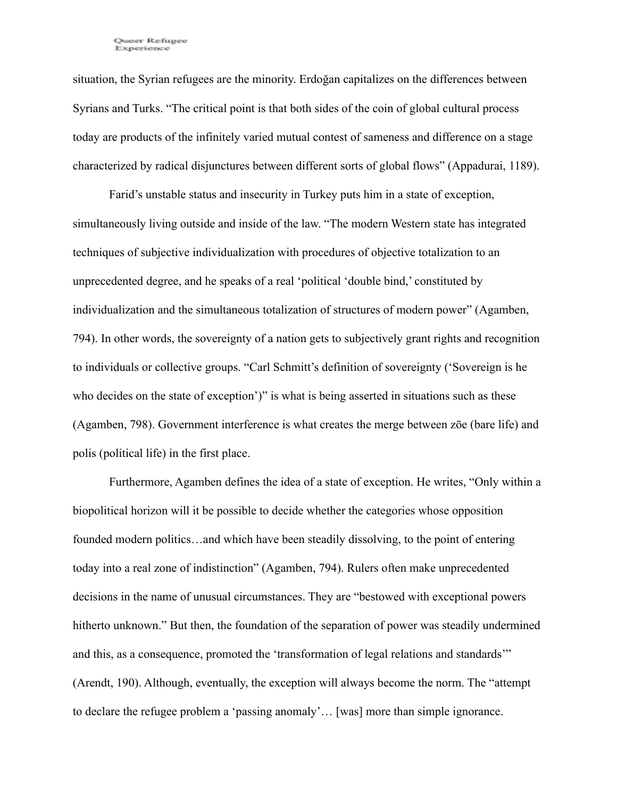situation, the Syrian refugees are the minority. Erdoğan capitalizes on the differences between Syrians and Turks. "The critical point is that both sides of the coin of global cultural process today are products of the infinitely varied mutual contest of sameness and difference on a stage characterized by radical disjunctures between different sorts of global flows" (Appadurai, 1189).

Farid's unstable status and insecurity in Turkey puts him in a state of exception, simultaneously living outside and inside of the law. "The modern Western state has integrated techniques of subjective individualization with procedures of objective totalization to an unprecedented degree, and he speaks of a real 'political 'double bind,' constituted by individualization and the simultaneous totalization of structures of modern power" (Agamben, 794). In other words, the sovereignty of a nation gets to subjectively grant rights and recognition to individuals or collective groups. "Carl Schmitt's definition of sovereignty ('Sovereign is he who decides on the state of exception')" is what is being asserted in situations such as these (Agamben, 798). Government interference is what creates the merge between zōe (bare life) and polis (political life) in the first place.

Furthermore, Agamben defines the idea of a state of exception. He writes, "Only within a biopolitical horizon will it be possible to decide whether the categories whose opposition founded modern politics…and which have been steadily dissolving, to the point of entering today into a real zone of indistinction" (Agamben, 794). Rulers often make unprecedented decisions in the name of unusual circumstances. They are "bestowed with exceptional powers hitherto unknown." But then, the foundation of the separation of power was steadily undermined and this, as a consequence, promoted the 'transformation of legal relations and standards'" (Arendt, 190). Although, eventually, the exception will always become the norm. The "attempt to declare the refugee problem a 'passing anomaly'… [was] more than simple ignorance.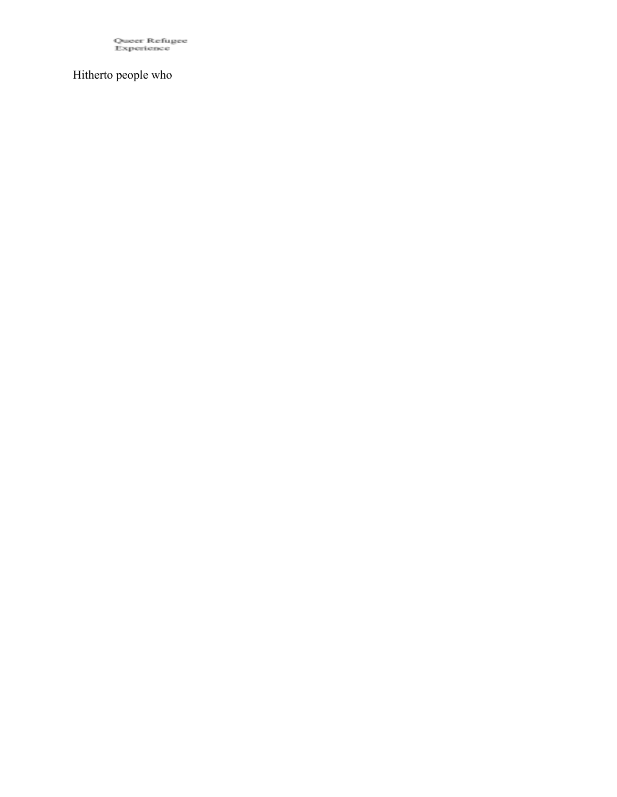Queer Refugee<br>Experience

## Hitherto people who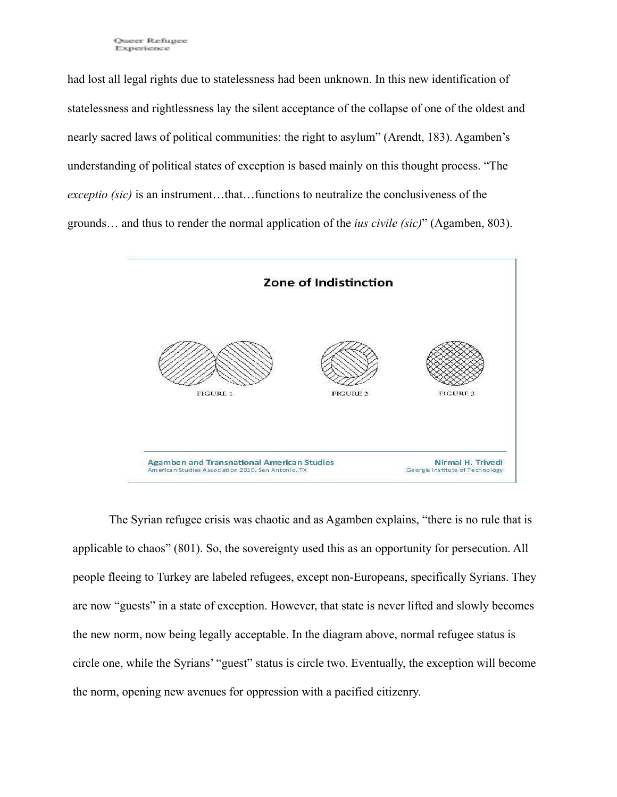had lost all legal rights due to statelessness had been unknown. In this new identification of statelessness and rightlessness lay the silent acceptance of the collapse of one of the oldest and nearly sacred laws of political communities: the right to asylum" (Arendt, 183). Agamben's understanding of political states of exception is based mainly on this thought process. "The *exceptio (sic)* is an instrument…that…functions to neutralize the conclusiveness of the grounds… and thus to render the normal application of the *ius civile (sic)*" (Agamben, 803).



The Syrian refugee crisis was chaotic and as Agamben explains, "there is no rule that is applicable to chaos" (801). So, the sovereignty used this as an opportunity for persecution. All people fleeing to Turkey are labeled refugees, except non-Europeans, specifically Syrians. They are now "guests" in a state of exception. However, that state is never lifted and slowly becomes the new norm, now being legally acceptable. In the diagram above, normal refugee status is circle one, while the Syrians' "guest" status is circle two. Eventually, the exception will become the norm, opening new avenues for oppression with a pacified citizenry.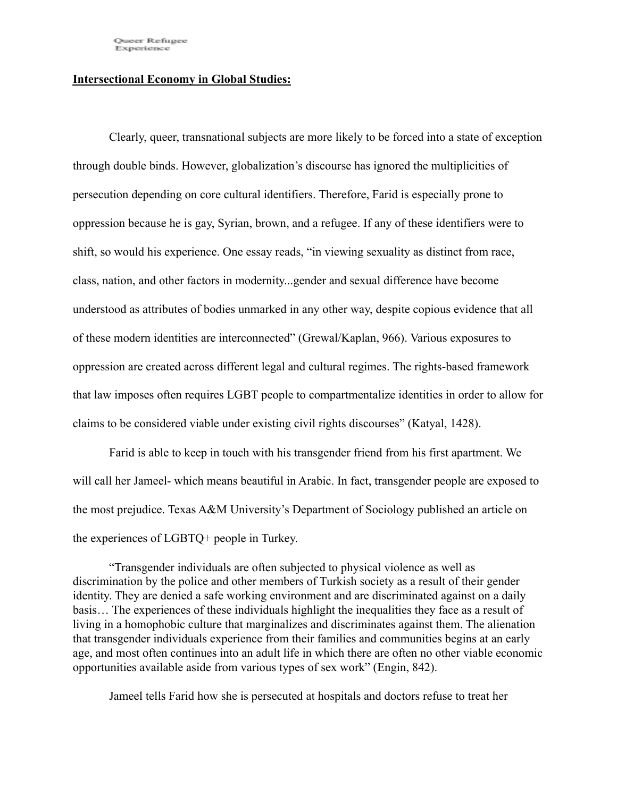## **Intersectional Economy in Global Studies:**

Clearly, queer, transnational subjects are more likely to be forced into a state of exception through double binds. However, globalization's discourse has ignored the multiplicities of persecution depending on core cultural identifiers. Therefore, Farid is especially prone to oppression because he is gay, Syrian, brown, and a refugee. If any of these identifiers were to shift, so would his experience. One essay reads, "in viewing sexuality as distinct from race, class, nation, and other factors in modernity...gender and sexual difference have become understood as attributes of bodies unmarked in any other way, despite copious evidence that all of these modern identities are interconnected" (Grewal/Kaplan, 966). Various exposures to oppression are created across different legal and cultural regimes. The rights-based framework that law imposes often requires LGBT people to compartmentalize identities in order to allow for claims to be considered viable under existing civil rights discourses" (Katyal, 1428).

Farid is able to keep in touch with his transgender friend from his first apartment. We will call her Jameel- which means beautiful in Arabic. In fact, transgender people are exposed to the most prejudice. Texas A&M University's Department of Sociology published an article on the experiences of LGBTQ+ people in Turkey.

"Transgender individuals are often subjected to physical violence as well as discrimination by the police and other members of Turkish society as a result of their gender identity. They are denied a safe working environment and are discriminated against on a daily basis… The experiences of these individuals highlight the inequalities they face as a result of living in a homophobic culture that marginalizes and discriminates against them. The alienation that transgender individuals experience from their families and communities begins at an early age, and most often continues into an adult life in which there are often no other viable economic opportunities available aside from various types of sex work" (Engin, 842).

Jameel tells Farid how she is persecuted at hospitals and doctors refuse to treat her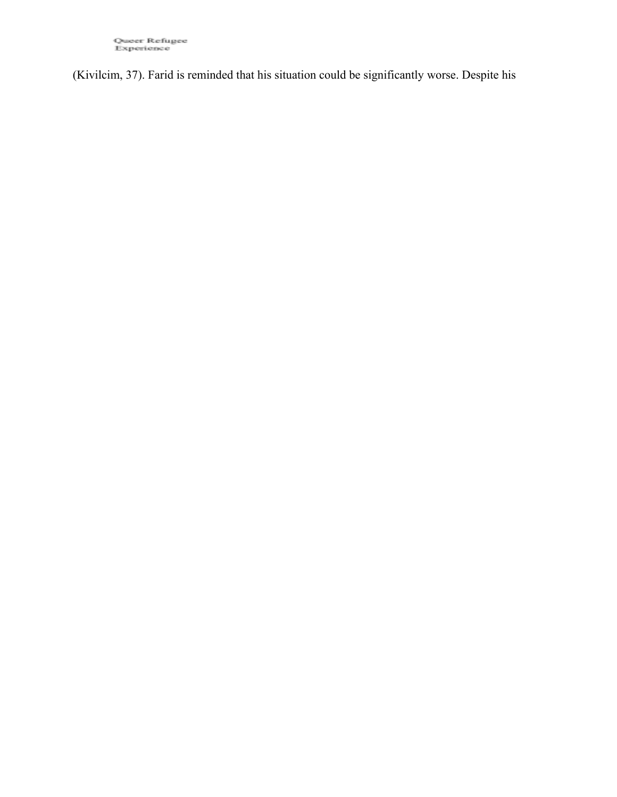(Kivilcim, 37). Farid is reminded that his situation could be significantly worse. Despite his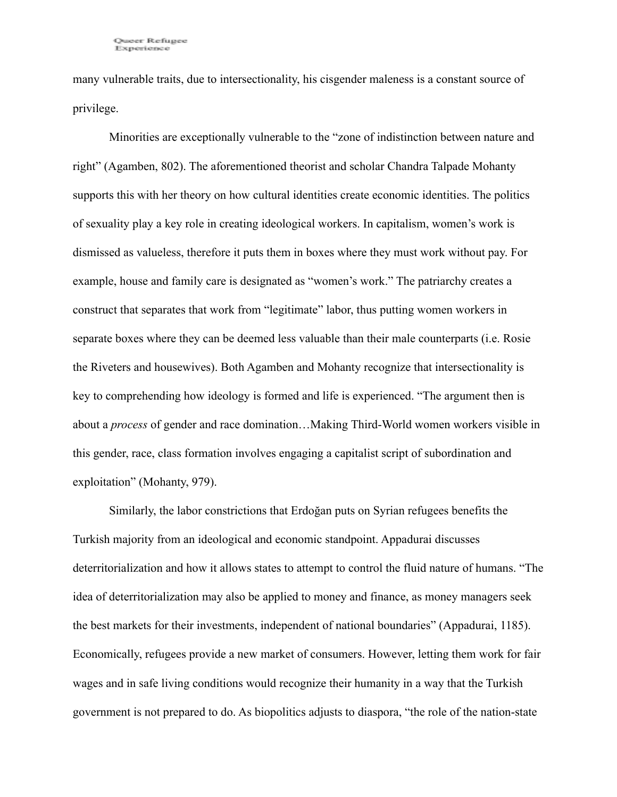many vulnerable traits, due to intersectionality, his cisgender maleness is a constant source of privilege.

Minorities are exceptionally vulnerable to the "zone of indistinction between nature and right" (Agamben, 802). The aforementioned theorist and scholar Chandra Talpade Mohanty supports this with her theory on how cultural identities create economic identities. The politics of sexuality play a key role in creating ideological workers. In capitalism, women's work is dismissed as valueless, therefore it puts them in boxes where they must work without pay. For example, house and family care is designated as "women's work." The patriarchy creates a construct that separates that work from "legitimate" labor, thus putting women workers in separate boxes where they can be deemed less valuable than their male counterparts (i.e. Rosie the Riveters and housewives). Both Agamben and Mohanty recognize that intersectionality is key to comprehending how ideology is formed and life is experienced. "The argument then is about a *process* of gender and race domination…Making Third-World women workers visible in this gender, race, class formation involves engaging a capitalist script of subordination and exploitation" (Mohanty, 979).

Similarly, the labor constrictions that [Erdoğan](https://www.google.com/search?sxsrf=ALeKk03_M3ZaoLeUH-dZYmxa6C39yP5O_A%3A1587950494356&q=Recep%2BTayyip%2BErdo%C4%9Fan&stick=H4sIAAAAAAAAAONgVuLUz9U3MDI0Mjd9xOjMLfDyxz1hKatJa05eYzTh4grOyC93zSvJLKkUUuNig7JkuHilELo0GKS4uRBcnkWsokGpyakFCiGJlZWZBQquRSn5R-Yn5gEAnss19WsAAAA&sxsrf=ALeKk03_M3ZaoLeUH-dZYmxa6C39yP5O_A%3A1587950494356) puts on Syrian refugees benefits the Turkish majority from an ideological and economic standpoint. Appadurai discusses deterritorialization and how it allows states to attempt to control the fluid nature of humans. "The idea of deterritorialization may also be applied to money and finance, as money managers seek the best markets for their investments, independent of national boundaries" (Appadurai, 1185). Economically, refugees provide a new market of consumers. However, letting them work for fair wages and in safe living conditions would recognize their humanity in a way that the Turkish government is not prepared to do. As biopolitics adjusts to diaspora, "the role of the nation-state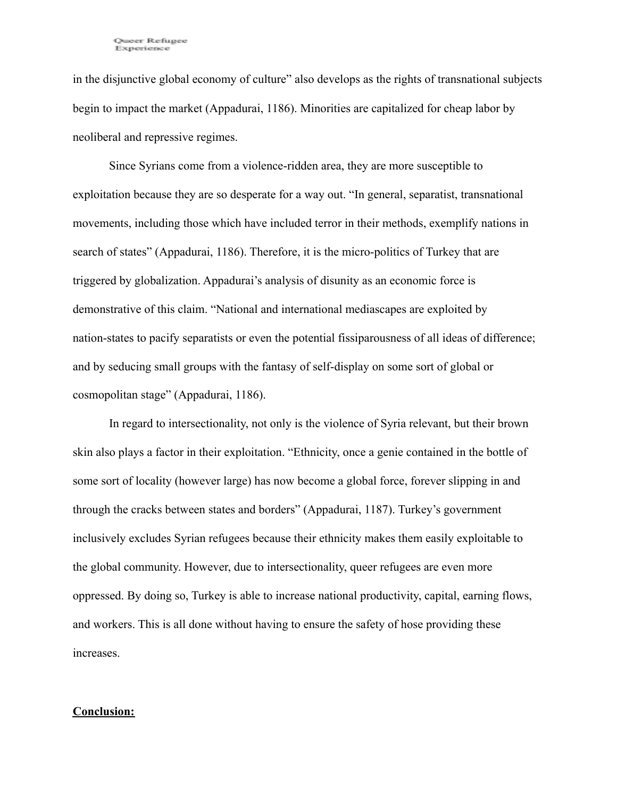in the disjunctive global economy of culture" also develops as the rights of transnational subjects begin to impact the market (Appadurai, 1186). Minorities are capitalized for cheap labor by neoliberal and repressive regimes.

Since Syrians come from a violence-ridden area, they are more susceptible to exploitation because they are so desperate for a way out. "In general, separatist, transnational movements, including those which have included terror in their methods, exemplify nations in search of states" (Appadurai, 1186). Therefore, it is the micro-politics of Turkey that are triggered by globalization. Appadurai's analysis of disunity as an economic force is demonstrative of this claim. "National and international mediascapes are exploited by nation-states to pacify separatists or even the potential fissiparousness of all ideas of difference; and by seducing small groups with the fantasy of self-display on some sort of global or cosmopolitan stage" (Appadurai, 1186).

In regard to intersectionality, not only is the violence of Syria relevant, but their brown skin also plays a factor in their exploitation. "Ethnicity, once a genie contained in the bottle of some sort of locality (however large) has now become a global force, forever slipping in and through the cracks between states and borders" (Appadurai, 1187). Turkey's government inclusively excludes Syrian refugees because their ethnicity makes them easily exploitable to the global community. However, due to intersectionality, queer refugees are even more oppressed. By doing so, Turkey is able to increase national productivity, capital, earning flows, and workers. This is all done without having to ensure the safety of hose providing these increases.

## **Conclusion:**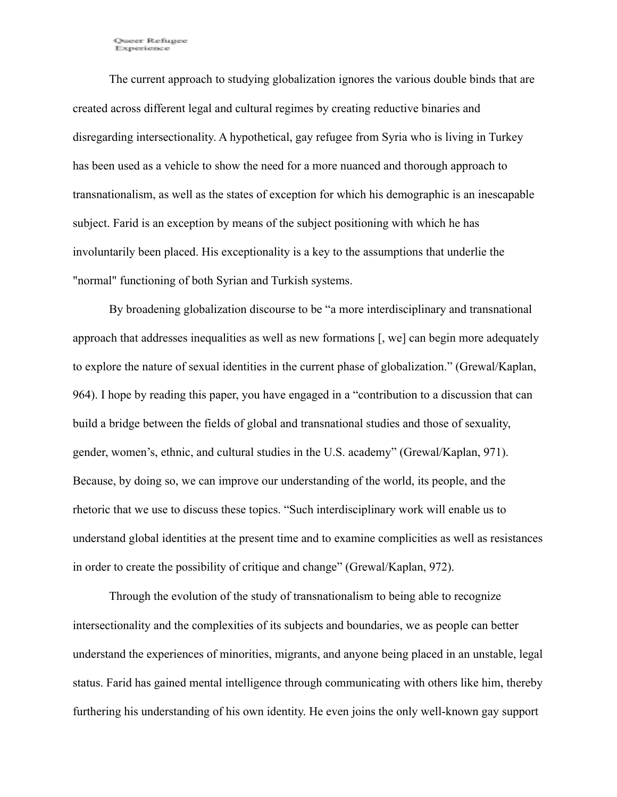The current approach to studying globalization ignores the various double binds that are created across different legal and cultural regimes by creating reductive binaries and disregarding intersectionality. A hypothetical, gay refugee from Syria who is living in Turkey has been used as a vehicle to show the need for a more nuanced and thorough approach to transnationalism, as well as the states of exception for which his demographic is an inescapable subject. Farid is an exception by means of the subject positioning with which he has involuntarily been placed. His exceptionality is a key to the assumptions that underlie the "normal" functioning of both Syrian and Turkish systems.

By broadening globalization discourse to be "a more interdisciplinary and transnational approach that addresses inequalities as well as new formations [, we] can begin more adequately to explore the nature of sexual identities in the current phase of globalization." (Grewal/Kaplan, 964). I hope by reading this paper, you have engaged in a "contribution to a discussion that can build a bridge between the fields of global and transnational studies and those of sexuality, gender, women's, ethnic, and cultural studies in the U.S. academy" (Grewal/Kaplan, 971). Because, by doing so, we can improve our understanding of the world, its people, and the rhetoric that we use to discuss these topics. "Such interdisciplinary work will enable us to understand global identities at the present time and to examine complicities as well as resistances in order to create the possibility of critique and change" (Grewal/Kaplan, 972).

Through the evolution of the study of transnationalism to being able to recognize intersectionality and the complexities of its subjects and boundaries, we as people can better understand the experiences of minorities, migrants, and anyone being placed in an unstable, legal status. Farid has gained mental intelligence through communicating with others like him, thereby furthering his understanding of his own identity. He even joins the only well-known gay support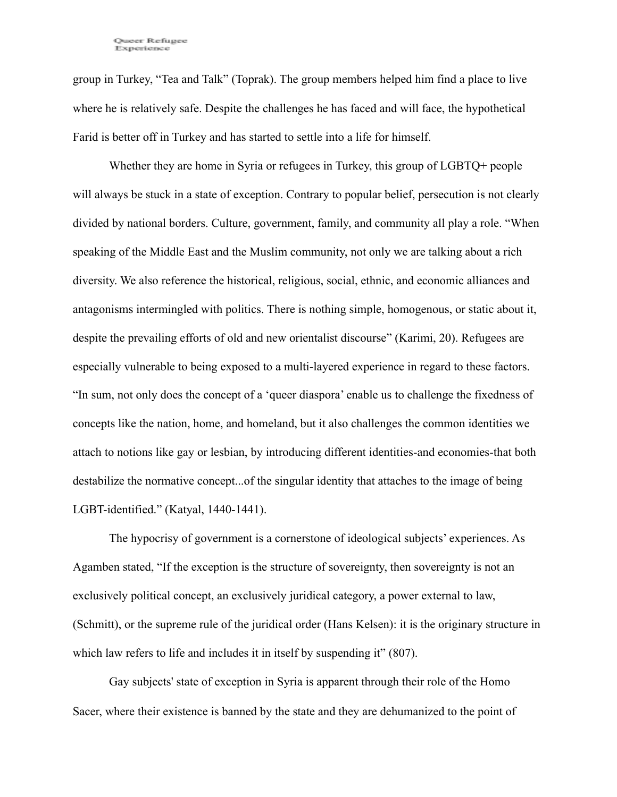group in Turkey, "Tea and Talk" (Toprak). The group members helped him find a place to live where he is relatively safe. Despite the challenges he has faced and will face, the hypothetical Farid is better off in Turkey and has started to settle into a life for himself.

Whether they are home in Syria or refugees in Turkey, this group of LGBTQ+ people will always be stuck in a state of exception. Contrary to popular belief, persecution is not clearly divided by national borders. Culture, government, family, and community all play a role. "When speaking of the Middle East and the Muslim community, not only we are talking about a rich diversity. We also reference the historical, religious, social, ethnic, and economic alliances and antagonisms intermingled with politics. There is nothing simple, homogenous, or static about it, despite the prevailing efforts of old and new orientalist discourse" (Karimi, 20). Refugees are especially vulnerable to being exposed to a multi-layered experience in regard to these factors. "In sum, not only does the concept of a 'queer diaspora' enable us to challenge the fixedness of concepts like the nation, home, and homeland, but it also challenges the common identities we attach to notions like gay or lesbian, by introducing different identities-and economies-that both destabilize the normative concept...of the singular identity that attaches to the image of being LGBT-identified." (Katyal, 1440-1441).

The hypocrisy of government is a cornerstone of ideological subjects' experiences. As Agamben stated, "If the exception is the structure of sovereignty, then sovereignty is not an exclusively political concept, an exclusively juridical category, a power external to law, (Schmitt), or the supreme rule of the juridical order (Hans Kelsen): it is the originary structure in which law refers to life and includes it in itself by suspending it" (807).

Gay subjects' state of exception in Syria is apparent through their role of the Homo Sacer, where their existence is banned by the state and they are dehumanized to the point of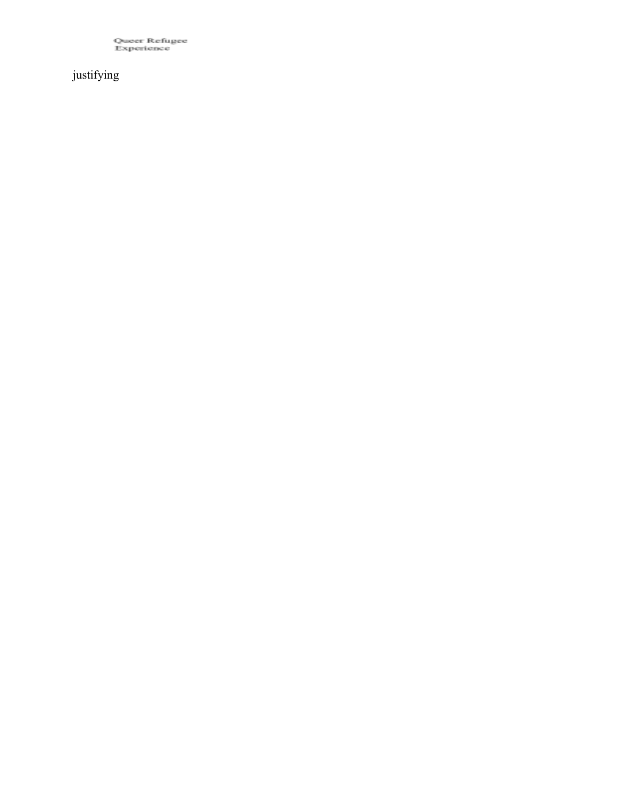Queer Refugee<br>Experience

justifying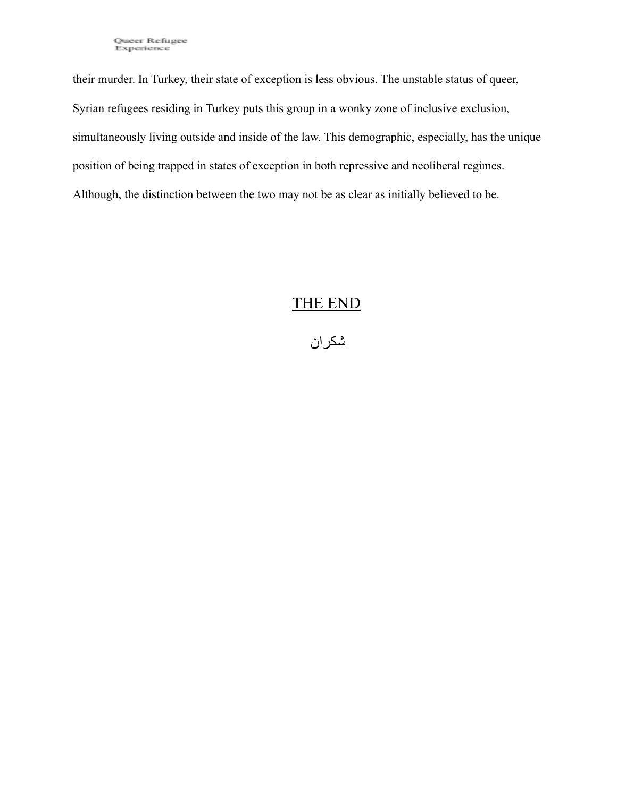# their murder. In Turkey, their state of exception is less obvious. The unstable status of queer, Syrian refugees residing in Turkey puts this group in a wonky zone of inclusive exclusion, simultaneously living outside and inside of the law. This demographic, especially, has the unique position of being trapped in states of exception in both repressive and neoliberal regimes. Although, the distinction between the two may not be as clear as initially believed to be.

## THE END

## شكران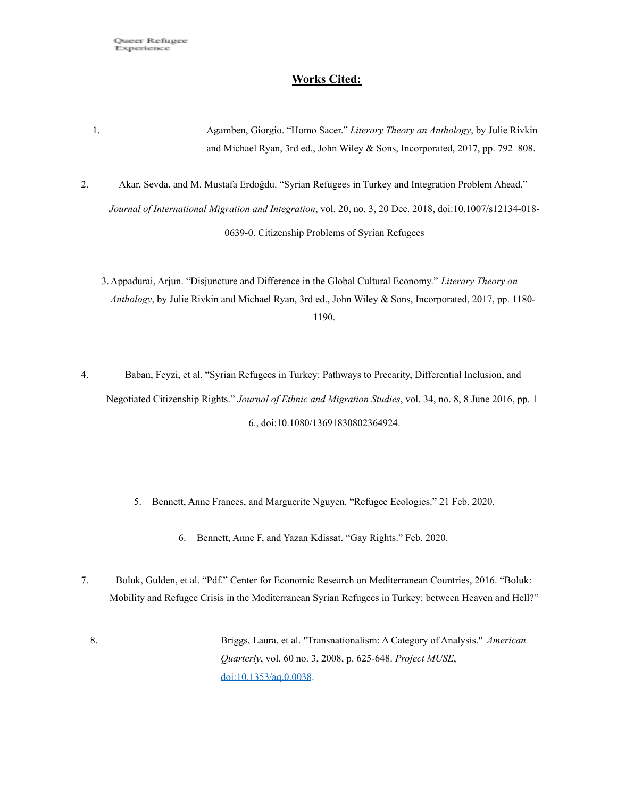## **Works Cited:**

1. Agamben, Giorgio. "Homo Sacer." *Literary Theory an Anthology*, by Julie Rivkin and Michael Ryan, 3rd ed., John Wiley & Sons, Incorporated, 2017, pp. 792–808.

2. Akar, Sevda, and M. Mustafa Erdoğdu. "Syrian Refugees in Turkey and Integration Problem Ahead." *Journal of International Migration and Integration*, vol. 20, no. 3, 20 Dec. 2018, doi:10.1007/s12134-018- 0639-0. Citizenship Problems of Syrian Refugees

3. Appadurai, Arjun. "Disjuncture and Difference in the Global Cultural Economy." *Literary Theory an Anthology*, by Julie Rivkin and Michael Ryan, 3rd ed., John Wiley & Sons, Incorporated, 2017, pp. 1180- 1190.

4. Baban, Feyzi, et al. "Syrian Refugees in Turkey: Pathways to Precarity, Differential Inclusion, and Negotiated Citizenship Rights." *Journal of Ethnic and Migration Studies*, vol. 34, no. 8, 8 June 2016, pp. 1– 6., doi:10.1080/13691830802364924.

5. Bennett, Anne Frances, and Marguerite Nguyen. "Refugee Ecologies." 21 Feb. 2020.

6. Bennett, Anne F, and Yazan Kdissat. "Gay Rights." Feb. 2020.

- 7. Boluk, Gulden, et al. "Pdf." Center for Economic Research on Mediterranean Countries, 2016. "Boluk: Mobility and Refugee Crisis in the Mediterranean Syrian Refugees in Turkey: between Heaven and Hell?"
	- 8. Briggs, Laura, et al. "Transnationalism: A Category of Analysis." *American Quarterly*, vol. 60 no. 3, 2008, p. 625-648. *Project MUSE*, [doi:10.1353/aq.0.0038.](http://doi.org/10.1353/aq.0.0038)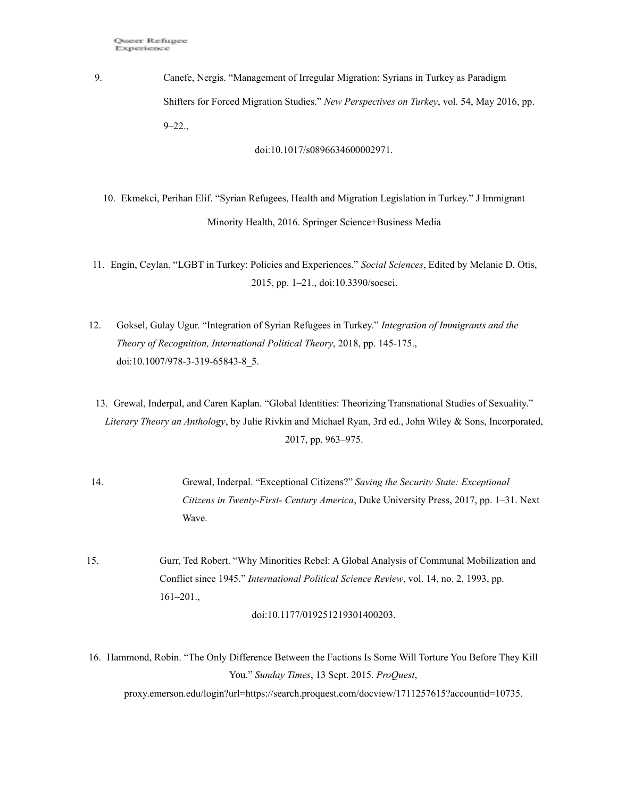9. Canefe, Nergis. "Management of Irregular Migration: Syrians in Turkey as Paradigm Shifters for Forced Migration Studies." *New Perspectives on Turkey*, vol. 54, May 2016, pp.  $9 - 22.$ 

doi:10.1017/s0896634600002971.

10. Ekmekci, Perihan Elif. "Syrian Refugees, Health and Migration Legislation in Turkey." J Immigrant Minority Health, 2016. Springer Science+Business Media

11. Engin, Ceylan. "LGBT in Turkey: Policies and Experiences." *Social Sciences*, Edited by Melanie D. Otis, 2015, pp. 1–21., doi:10.3390/socsci.

12. Goksel, Gulay Ugur. "Integration of Syrian Refugees in Turkey." *Integration of Immigrants and the Theory of Recognition, International Political Theory*, 2018, pp. 145-175., doi:10.1007/978-3-319-65843-8\_5.

13. Grewal, Inderpal, and Caren Kaplan. "Global Identities: Theorizing Transnational Studies of Sexuality." *Literary Theory an Anthology*, by Julie Rivkin and Michael Ryan, 3rd ed., John Wiley & Sons, Incorporated, 2017, pp. 963–975.

14. Grewal, Inderpal. "Exceptional Citizens?" *Saving the Security State: Exceptional Citizens in Twenty-First- Century America*, Duke University Press, 2017, pp. 1–31. Next Wave.

15. Gurr, Ted Robert. "Why Minorities Rebel: A Global Analysis of Communal Mobilization and Conflict since 1945." *International Political Science Review*, vol. 14, no. 2, 1993, pp. 161–201.,

doi:10.1177/019251219301400203.

16. Hammond, Robin. "The Only Difference Between the Factions Is Some Will Torture You Before They Kill You." *Sunday Times*, 13 Sept. 2015. *ProQuest*,

proxy.emerson.edu/login?url=https://search.proquest.com/docview/1711257615?accountid=10735.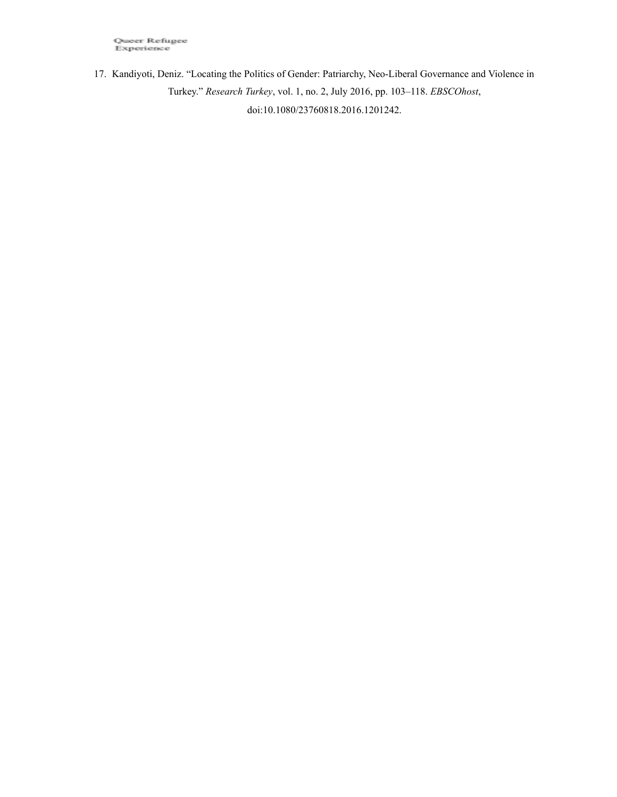17. Kandiyoti, Deniz. "Locating the Politics of Gender: Patriarchy, Neo-Liberal Governance and Violence in Turkey." *Research Turkey*, vol. 1, no. 2, July 2016, pp. 103–118. *EBSCOhost*, doi:10.1080/23760818.2016.1201242.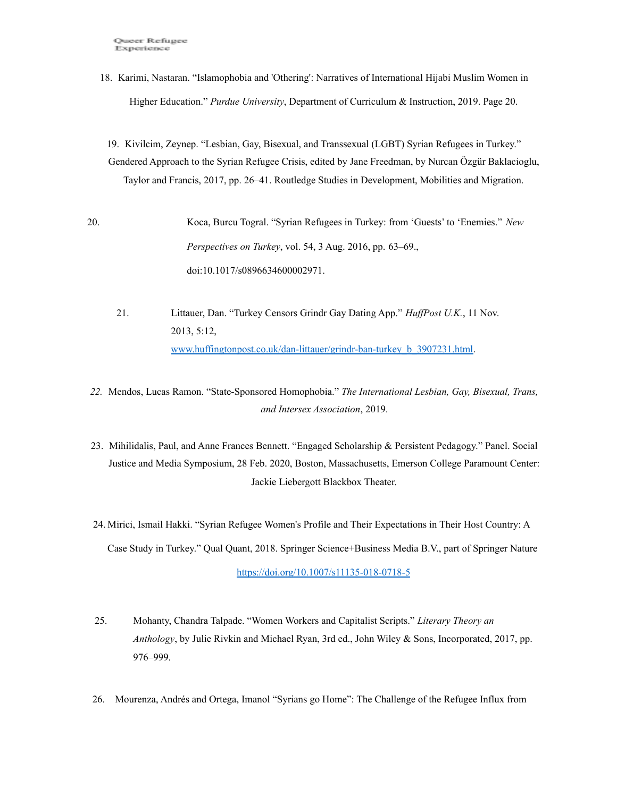18. Karimi, Nastaran. "Islamophobia and 'Othering': Narratives of International Hijabi Muslim Women in Higher Education." *Purdue University*, Department of Curriculum & Instruction, 2019. Page 20.

19. Kivilcim, Zeynep. "Lesbian, Gay, Bisexual, and Transsexual (LGBT) Syrian Refugees in Turkey." Gendered Approach to the Syrian Refugee Crisis, edited by Jane Freedman, by Nurcan Özgür Baklacioglu, Taylor and Francis, 2017, pp. 26–41. Routledge Studies in Development, Mobilities and Migration.

20. Koca, Burcu Togral. "Syrian Refugees in Turkey: from 'Guests' to 'Enemies." *New Perspectives on Turkey*, vol. 54, 3 Aug. 2016, pp. 63–69., doi:10.1017/s0896634600002971.

21. Littauer, Dan. "Turkey Censors Grindr Gay Dating App." *HuffPost U.K.*, 11 Nov. 2013, 5:12, [www.huffingtonpost.co.uk/dan-littauer/grindr-ban-turkey\\_b\\_3907231.html.](http://www.huffingtonpost.co.uk/dan-littauer/grindr-ban-turkey_b_3907231.html)

*22.* Mendos, Lucas Ramon. "State-Sponsored Homophobia." *The International Lesbian, Gay, Bisexual, Trans, and Intersex Association*, 2019.

23. Mihilidalis, Paul, and Anne Frances Bennett. "Engaged Scholarship & Persistent Pedagogy." Panel. Social Justice and Media Symposium, 28 Feb. 2020, Boston, Massachusetts, Emerson College Paramount Center: Jackie Liebergott Blackbox Theater.

24. Mirici, Ismail Hakki. "Syrian Refugee Women's Profile and Their Expectations in Their Host Country: A Case Study in Turkey." Qual Quant, 2018. Springer Science+Business Media B.V., part of Springer Nature

<https://doi.org/10.1007/s11135-018-0718-5>

- 25. Mohanty, Chandra Talpade. "Women Workers and Capitalist Scripts." *Literary Theory an Anthology*, by Julie Rivkin and Michael Ryan, 3rd ed., John Wiley & Sons, Incorporated, 2017, pp. 976–999.
- 26. Mourenza, Andrés and Ortega, Imanol "Syrians go Home": The Challenge of the Refugee Influx from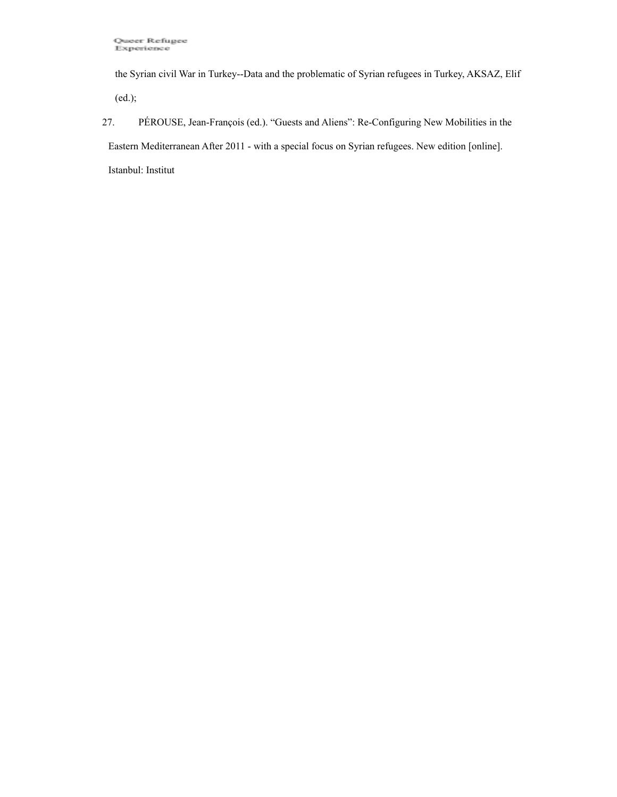the Syrian civil War in Turkey--Data and the problematic of Syrian refugees in Turkey, AKSAZ, Elif (ed.);

27. PÉROUSE, Jean-François (ed.). "Guests and Aliens": Re-Configuring New Mobilities in the Eastern Mediterranean After 2011 - with a special focus on Syrian refugees. New edition [online]. Istanbul: Institut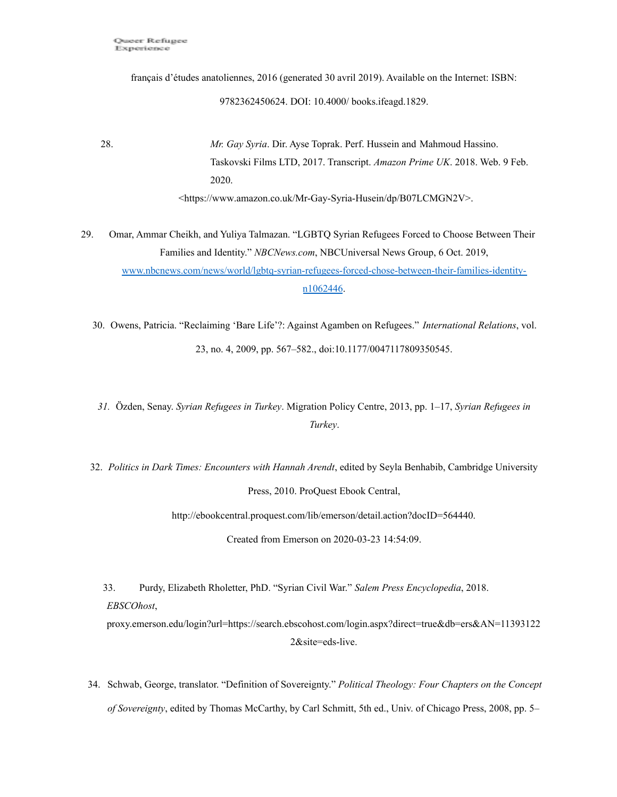français d'études anatoliennes, 2016 (generated 30 avril 2019). Available on the Internet: ISBN:

#### 9782362450624. DOI: 10.4000/ books.ifeagd.1829.

28. *Mr. Gay Syria*. Dir. Ayse Toprak. Perf. Hussein and Mahmoud Hassino. Taskovski Films LTD, 2017. Transcript. *Amazon Prime UK*. 2018. Web. 9 Feb. 2020.

<https:/[/www.amazon.co.uk/Mr-Gay-Syria-Husein/dp/B07LCMGN2V>](http://www.amazon.co.uk/Mr-Gay-Syria-Husein/dp/B07LCMGN2V).

29. Omar, Ammar Cheikh, and Yuliya Talmazan. "LGBTQ Syrian Refugees Forced to Choose Between Their Families and Identity." *NBCNews.com*, NBCUniversal News Group, 6 Oct. 2019, [www.nbcnews.com/news/world/lgbtq-syrian-refugees-forced-chose-between-their-families-identity](http://www.nbcnews.com/news/world/lgbtq-syrian-refugees-forced-chose-between-their-families-identity-n1062446)[n1062446.](http://www.nbcnews.com/news/world/lgbtq-syrian-refugees-forced-chose-between-their-families-identity-n1062446)

30. Owens, Patricia. "Reclaiming 'Bare Life'?: Against Agamben on Refugees." *International Relations*, vol. 23, no. 4, 2009, pp. 567–582., doi:10.1177/0047117809350545.

*31.* Özden, Senay. *Syrian Refugees in Turkey*. Migration Policy Centre, 2013, pp. 1–17, *Syrian Refugees in Turkey*.

32. *Politics in Dark Times: Encounters with Hannah Arendt*, edited by Seyla Benhabib, Cambridge University Press, 2010. ProQuest Ebook Central,

[http://ebookcentral.proquest.com/lib/emerson/detail.action?docID=564440.](http://ebookcentral.proquest.com/lib/emerson/detail.action?docID=564440)

Created from Emerson on 2020-03-23 14:54:09.

33. Purdy, Elizabeth Rholetter, PhD. "Syrian Civil War." *Salem Press Encyclopedia*, 2018. *EBSCOhost*,

proxy.emerson.edu/login?url=https://search.ebscohost.com/login.aspx?direct=true&db=ers&AN=11393122 2&site=eds-live.

34. Schwab, George, translator. "Definition of Sovereignty." *Political Theology: Four Chapters on the Concept of Sovereignty*, edited by Thomas McCarthy, by Carl Schmitt, 5th ed., Univ. of Chicago Press, 2008, pp. 5–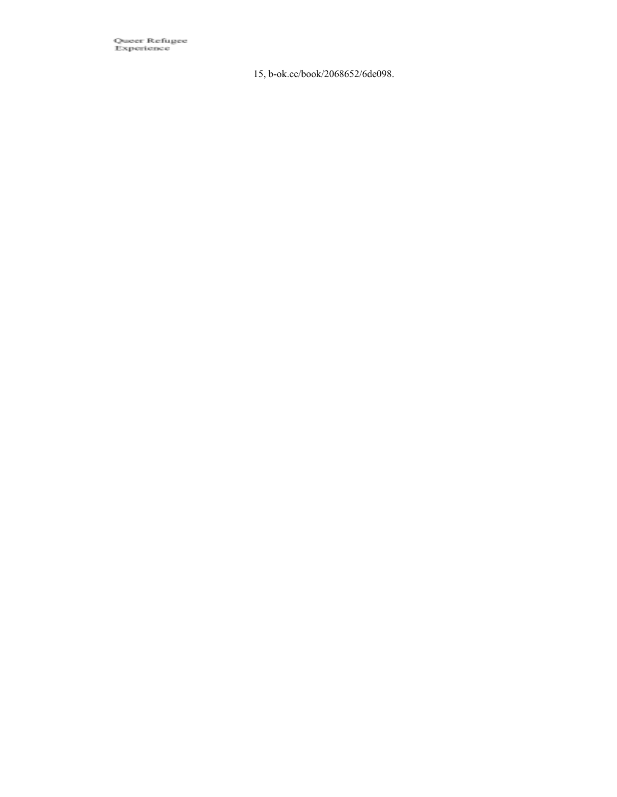Queer Refugee<br>Experience

15, b-ok.cc/book/2068652/6de098.